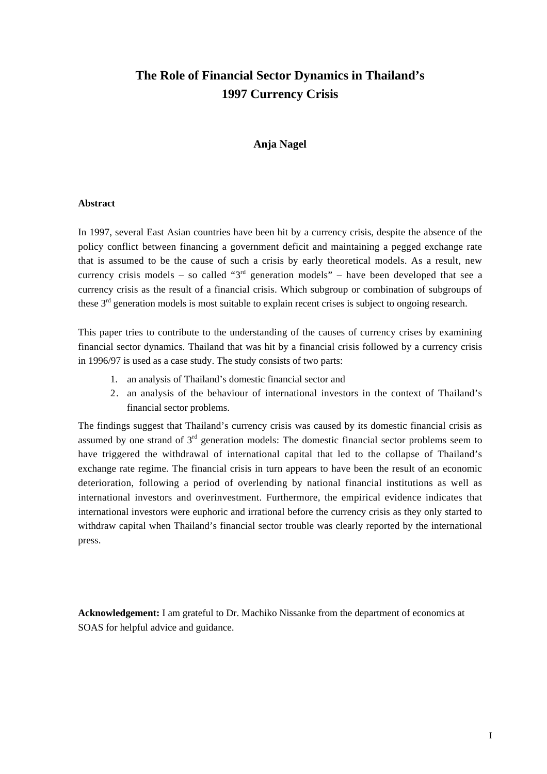## **The Role of Financial Sector Dynamics in Thailand's 1997 Currency Crisis**

#### **Anja Nagel**

#### **Abstract**

In 1997, several East Asian countries have been hit by a currency crisis, despite the absence of the policy conflict between financing a government deficit and maintaining a pegged exchange rate that is assumed to be the cause of such a crisis by early theoretical models. As a result, new currency crisis models – so called " $3<sup>rd</sup>$  generation models" – have been developed that see a currency crisis as the result of a financial crisis. Which subgroup or combination of subgroups of these 3<sup>rd</sup> generation models is most suitable to explain recent crises is subject to ongoing research.

This paper tries to contribute to the understanding of the causes of currency crises by examining financial sector dynamics. Thailand that was hit by a financial crisis followed by a currency crisis in 1996/97 is used as a case study. The study consists of two parts:

- 1. an analysis of Thailand's domestic financial sector and
- 2. an analysis of the behaviour of international investors in the context of Thailand's financial sector problems.

The findings suggest that Thailand's currency crisis was caused by its domestic financial crisis as assumed by one strand of  $3<sup>rd</sup>$  generation models: The domestic financial sector problems seem to have triggered the withdrawal of international capital that led to the collapse of Thailand's exchange rate regime. The financial crisis in turn appears to have been the result of an economic deterioration, following a period of overlending by national financial institutions as well as international investors and overinvestment. Furthermore, the empirical evidence indicates that international investors were euphoric and irrational before the currency crisis as they only started to withdraw capital when Thailand's financial sector trouble was clearly reported by the international press.

**Acknowledgement:** I am grateful to Dr. Machiko Nissanke from the department of economics at SOAS for helpful advice and guidance.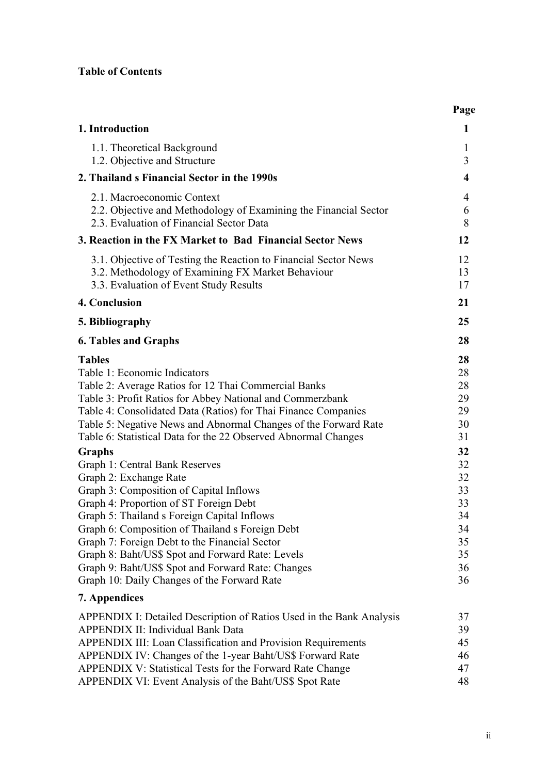### **Table of Contents**

|                                                                                                                                                                                                                                                                                                                                                                                                                                                                                                                                                                                                                                                                                                                                                                                                                                                                  | Page                                                                                                     |
|------------------------------------------------------------------------------------------------------------------------------------------------------------------------------------------------------------------------------------------------------------------------------------------------------------------------------------------------------------------------------------------------------------------------------------------------------------------------------------------------------------------------------------------------------------------------------------------------------------------------------------------------------------------------------------------------------------------------------------------------------------------------------------------------------------------------------------------------------------------|----------------------------------------------------------------------------------------------------------|
| 1. Introduction                                                                                                                                                                                                                                                                                                                                                                                                                                                                                                                                                                                                                                                                                                                                                                                                                                                  | 1                                                                                                        |
| 1.1. Theoretical Background<br>1.2. Objective and Structure                                                                                                                                                                                                                                                                                                                                                                                                                                                                                                                                                                                                                                                                                                                                                                                                      | 1<br>3                                                                                                   |
| 2. Thailand s Financial Sector in the 1990s                                                                                                                                                                                                                                                                                                                                                                                                                                                                                                                                                                                                                                                                                                                                                                                                                      | $\overline{\mathbf{4}}$                                                                                  |
| 2.1. Macroeconomic Context<br>2.2. Objective and Methodology of Examining the Financial Sector<br>2.3. Evaluation of Financial Sector Data                                                                                                                                                                                                                                                                                                                                                                                                                                                                                                                                                                                                                                                                                                                       | 4<br>6<br>8                                                                                              |
| 3. Reaction in the FX Market to Bad Financial Sector News                                                                                                                                                                                                                                                                                                                                                                                                                                                                                                                                                                                                                                                                                                                                                                                                        | 12                                                                                                       |
| 3.1. Objective of Testing the Reaction to Financial Sector News<br>3.2. Methodology of Examining FX Market Behaviour<br>3.3. Evaluation of Event Study Results                                                                                                                                                                                                                                                                                                                                                                                                                                                                                                                                                                                                                                                                                                   | 12<br>13<br>17                                                                                           |
| 4. Conclusion                                                                                                                                                                                                                                                                                                                                                                                                                                                                                                                                                                                                                                                                                                                                                                                                                                                    | 21                                                                                                       |
| 5. Bibliography                                                                                                                                                                                                                                                                                                                                                                                                                                                                                                                                                                                                                                                                                                                                                                                                                                                  | 25                                                                                                       |
| <b>6. Tables and Graphs</b>                                                                                                                                                                                                                                                                                                                                                                                                                                                                                                                                                                                                                                                                                                                                                                                                                                      | 28                                                                                                       |
| <b>Tables</b><br>Table 1: Economic Indicators<br>Table 2: Average Ratios for 12 Thai Commercial Banks<br>Table 3: Profit Ratios for Abbey National and Commerzbank<br>Table 4: Consolidated Data (Ratios) for Thai Finance Companies<br>Table 5: Negative News and Abnormal Changes of the Forward Rate<br>Table 6: Statistical Data for the 22 Observed Abnormal Changes<br>Graphs<br>Graph 1: Central Bank Reserves<br>Graph 2: Exchange Rate<br>Graph 3: Composition of Capital Inflows<br>Graph 4: Proportion of ST Foreign Debt<br>Graph 5: Thailand s Foreign Capital Inflows<br>Graph 6: Composition of Thailand s Foreign Debt<br>Graph 7: Foreign Debt to the Financial Sector<br>Graph 8: Baht/US\$ Spot and Forward Rate: Levels<br>Graph 9: Baht/US\$ Spot and Forward Rate: Changes<br>Graph 10: Daily Changes of the Forward Rate<br>7. Appendices | 28<br>28<br>28<br>29<br>29<br>30<br>31<br>32<br>32<br>32<br>33<br>33<br>34<br>34<br>35<br>35<br>36<br>36 |
|                                                                                                                                                                                                                                                                                                                                                                                                                                                                                                                                                                                                                                                                                                                                                                                                                                                                  |                                                                                                          |
| APPENDIX I: Detailed Description of Ratios Used in the Bank Analysis<br><b>APPENDIX II: Individual Bank Data</b><br>APPENDIX III: Loan Classification and Provision Requirements<br>APPENDIX IV: Changes of the 1-year Baht/US\$ Forward Rate<br>APPENDIX V: Statistical Tests for the Forward Rate Change<br>APPENDIX VI: Event Analysis of the Baht/US\$ Spot Rate                                                                                                                                                                                                                                                                                                                                                                                                                                                                                             | 37<br>39<br>45<br>46<br>47<br>48                                                                         |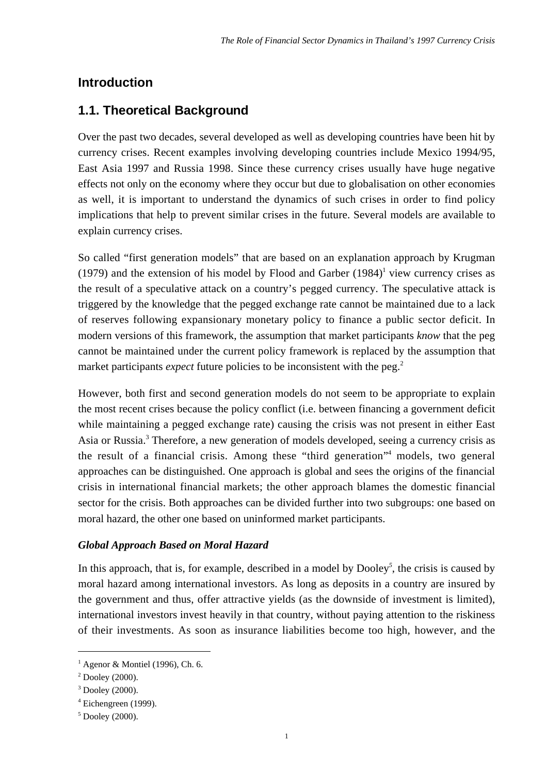### **Introduction**

### **1.1. Theoretical Background**

Over the past two decades, several developed as well as developing countries have been hit by currency crises. Recent examples involving developing countries include Mexico 1994/95, East Asia 1997 and Russia 1998. Since these currency crises usually have huge negative effects not only on the economy where they occur but due to globalisation on other economies as well, it is important to understand the dynamics of such crises in order to find policy implications that help to prevent similar crises in the future. Several models are available to explain currency crises.

So called "first generation models" that are based on an explanation approach by Krugman (1979) and the extension of his model by Flood and Garber  $(1984)^1$  view currency crises as the result of a speculative attack on a country's pegged currency. The speculative attack is triggered by the knowledge that the pegged exchange rate cannot be maintained due to a lack of reserves following expansionary monetary policy to finance a public sector deficit. In modern versions of this framework, the assumption that market participants *know* that the peg cannot be maintained under the current policy framework is replaced by the assumption that market participants *expect* future policies to be inconsistent with the peg.<sup>2</sup>

However, both first and second generation models do not seem to be appropriate to explain the most recent crises because the policy conflict (i.e. between financing a government deficit while maintaining a pegged exchange rate) causing the crisis was not present in either East Asia or Russia.<sup>3</sup> Therefore, a new generation of models developed, seeing a currency crisis as the result of a financial crisis. Among these "third generation"4 models, two general approaches can be distinguished. One approach is global and sees the origins of the financial crisis in international financial markets; the other approach blames the domestic financial sector for the crisis. Both approaches can be divided further into two subgroups: one based on moral hazard, the other one based on uninformed market participants.

#### *Global Approach Based on Moral Hazard*

In this approach, that is, for example, described in a model by  $Dooley<sup>5</sup>$ , the crisis is caused by moral hazard among international investors. As long as deposits in a country are insured by the government and thus, offer attractive yields (as the downside of investment is limited), international investors invest heavily in that country, without paying attention to the riskiness of their investments. As soon as insurance liabilities become too high, however, and the

<sup>&</sup>lt;sup>1</sup> Agenor & Montiel (1996), Ch. 6.

 $2$  Dooley (2000).

<sup>3</sup> Dooley (2000).

<sup>4</sup> Eichengreen (1999).

<sup>5</sup> Dooley (2000).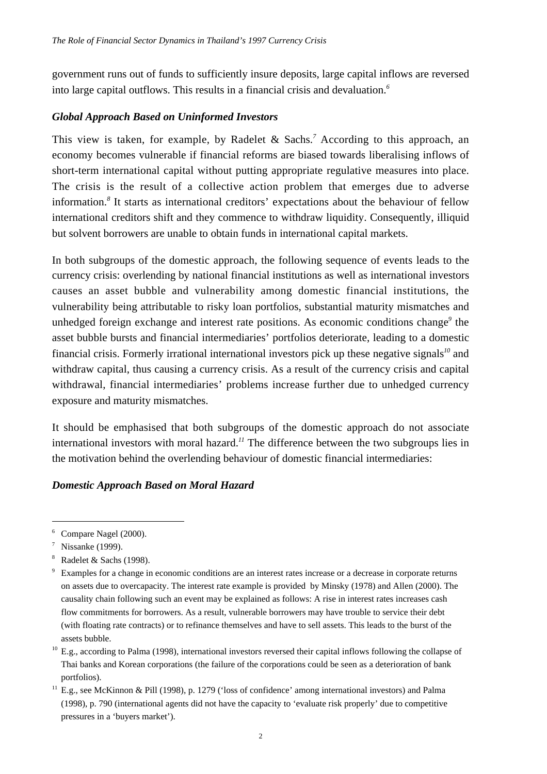government runs out of funds to sufficiently insure deposits, large capital inflows are reversed into large capital outflows. This results in a financial crisis and devaluation.*<sup>6</sup>*

#### *Global Approach Based on Uninformed Investors*

This view is taken, for example, by Radelet & Sachs.*<sup>7</sup>* According to this approach, an economy becomes vulnerable if financial reforms are biased towards liberalising inflows of short-term international capital without putting appropriate regulative measures into place. The crisis is the result of a collective action problem that emerges due to adverse information.*<sup>8</sup>* It starts as international creditors' expectations about the behaviour of fellow international creditors shift and they commence to withdraw liquidity. Consequently, illiquid but solvent borrowers are unable to obtain funds in international capital markets.

In both subgroups of the domestic approach, the following sequence of events leads to the currency crisis: overlending by national financial institutions as well as international investors causes an asset bubble and vulnerability among domestic financial institutions, the vulnerability being attributable to risky loan portfolios, substantial maturity mismatches and unhedged foreign exchange and interest rate positions. As economic conditions change*<sup>9</sup>* the asset bubble bursts and financial intermediaries' portfolios deteriorate, leading to a domestic financial crisis. Formerly irrational international investors pick up these negative signals*<sup>10</sup>* and withdraw capital, thus causing a currency crisis. As a result of the currency crisis and capital withdrawal, financial intermediaries' problems increase further due to unhedged currency exposure and maturity mismatches.

It should be emphasised that both subgroups of the domestic approach do not associate international investors with moral hazard.*<sup>11</sup>* The difference between the two subgroups lies in the motivation behind the overlending behaviour of domestic financial intermediaries:

#### *Domestic Approach Based on Moral Hazard*

<sup>6</sup> Compare Nagel (2000).

 $\frac{7}{1}$  Nissanke (1999).

 $8$  Radelet & Sachs (1998).

Examples for a change in economic conditions are an interest rates increase or a decrease in corporate returns on assets due to overcapacity. The interest rate example is provided by Minsky (1978) and Allen (2000). The causality chain following such an event may be explained as follows: A rise in interest rates increases cash flow commitments for borrowers. As a result, vulnerable borrowers may have trouble to service their debt (with floating rate contracts) or to refinance themselves and have to sell assets. This leads to the burst of the assets bubble.

 $^{10}$  E.g., according to Palma (1998), international investors reversed their capital inflows following the collapse of Thai banks and Korean corporations (the failure of the corporations could be seen as a deterioration of bank portfolios).

<sup>&</sup>lt;sup>11</sup> E.g., see McKinnon & Pill (1998), p. 1279 ('loss of confidence' among international investors) and Palma (1998), p. 790 (international agents did not have the capacity to 'evaluate risk properly' due to competitive pressures in a 'buyers market').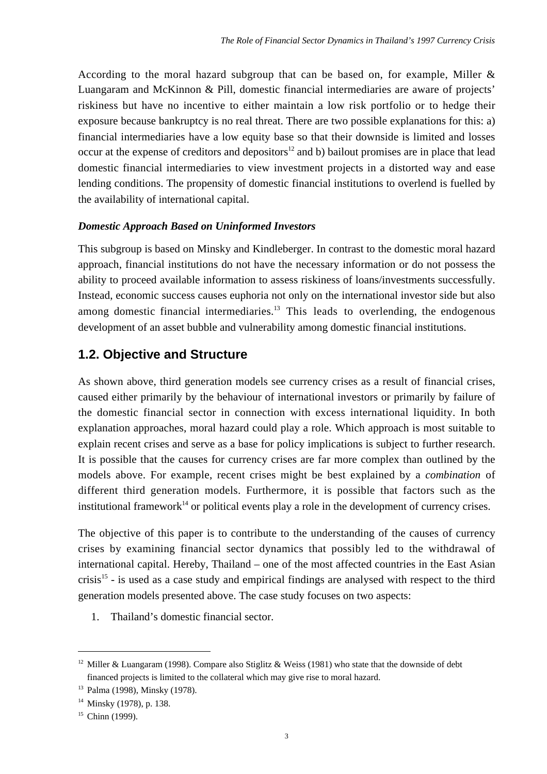According to the moral hazard subgroup that can be based on, for example, Miller & Luangaram and McKinnon & Pill, domestic financial intermediaries are aware of projects' riskiness but have no incentive to either maintain a low risk portfolio or to hedge their exposure because bankruptcy is no real threat. There are two possible explanations for this: a) financial intermediaries have a low equity base so that their downside is limited and losses occur at the expense of creditors and depositors<sup>12</sup> and b) bailout promises are in place that lead domestic financial intermediaries to view investment projects in a distorted way and ease lending conditions. The propensity of domestic financial institutions to overlend is fuelled by the availability of international capital.

### *Domestic Approach Based on Uninformed Investors*

This subgroup is based on Minsky and Kindleberger. In contrast to the domestic moral hazard approach, financial institutions do not have the necessary information or do not possess the ability to proceed available information to assess riskiness of loans/investments successfully. Instead, economic success causes euphoria not only on the international investor side but also among domestic financial intermediaries.<sup>13</sup> This leads to overlending, the endogenous development of an asset bubble and vulnerability among domestic financial institutions.

### **1.2. Objective and Structure**

As shown above, third generation models see currency crises as a result of financial crises, caused either primarily by the behaviour of international investors or primarily by failure of the domestic financial sector in connection with excess international liquidity. In both explanation approaches, moral hazard could play a role. Which approach is most suitable to explain recent crises and serve as a base for policy implications is subject to further research. It is possible that the causes for currency crises are far more complex than outlined by the models above. For example, recent crises might be best explained by a *combination* of different third generation models. Furthermore, it is possible that factors such as the institutional framework<sup>14</sup> or political events play a role in the development of currency crises.

The objective of this paper is to contribute to the understanding of the causes of currency crises by examining financial sector dynamics that possibly led to the withdrawal of international capital. Hereby, Thailand – one of the most affected countries in the East Asian crisis<sup>15</sup> - is used as a case study and empirical findings are analysed with respect to the third generation models presented above. The case study focuses on two aspects:

1. Thailand's domestic financial sector.

<sup>&</sup>lt;sup>12</sup> Miller & Luangaram (1998). Compare also Stiglitz & Weiss (1981) who state that the downside of debt financed projects is limited to the collateral which may give rise to moral hazard.

<sup>13</sup> Palma (1998), Minsky (1978).

 $14$  Minsky (1978), p. 138.

 $15$  Chinn (1999).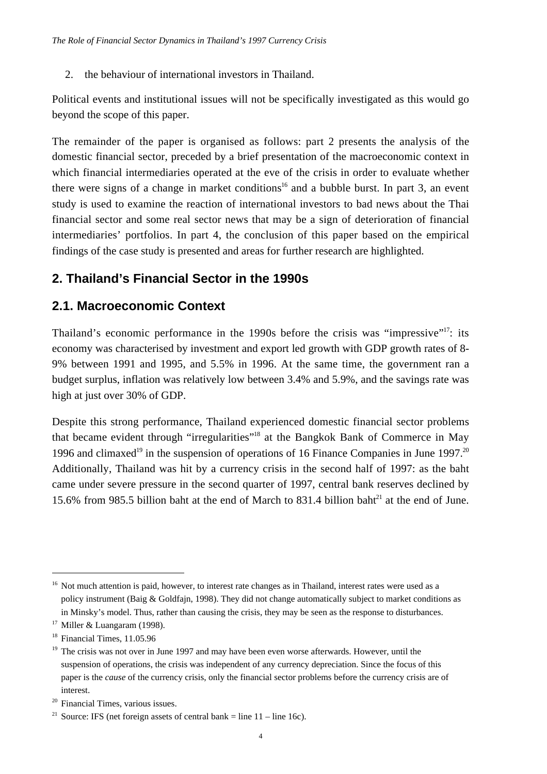2. the behaviour of international investors in Thailand.

Political events and institutional issues will not be specifically investigated as this would go beyond the scope of this paper.

The remainder of the paper is organised as follows: part 2 presents the analysis of the domestic financial sector, preceded by a brief presentation of the macroeconomic context in which financial intermediaries operated at the eve of the crisis in order to evaluate whether there were signs of a change in market conditions<sup>16</sup> and a bubble burst. In part 3, an event study is used to examine the reaction of international investors to bad news about the Thai financial sector and some real sector news that may be a sign of deterioration of financial intermediaries' portfolios. In part 4, the conclusion of this paper based on the empirical findings of the case study is presented and areas for further research are highlighted.

## **2. Thailand's Financial Sector in the 1990s**

## **2.1. Macroeconomic Context**

Thailand's economic performance in the 1990s before the crisis was "impressive"<sup>17</sup>: its economy was characterised by investment and export led growth with GDP growth rates of 8- 9% between 1991 and 1995, and 5.5% in 1996. At the same time, the government ran a budget surplus, inflation was relatively low between 3.4% and 5.9%, and the savings rate was high at just over 30% of GDP.

Despite this strong performance, Thailand experienced domestic financial sector problems that became evident through "irregularities"18 at the Bangkok Bank of Commerce in May 1996 and climaxed<sup>19</sup> in the suspension of operations of 16 Finance Companies in June 1997.<sup>20</sup> Additionally, Thailand was hit by a currency crisis in the second half of 1997: as the baht came under severe pressure in the second quarter of 1997, central bank reserves declined by 15.6% from 985.5 billion baht at the end of March to 831.4 billion baht<sup>21</sup> at the end of June.

<sup>&</sup>lt;sup>16</sup> Not much attention is paid, however, to interest rate changes as in Thailand, interest rates were used as a policy instrument (Baig & Goldfajn, 1998). They did not change automatically subject to market conditions as in Minsky's model. Thus, rather than causing the crisis, they may be seen as the response to disturbances.

<sup>&</sup>lt;sup>17</sup> Miller & Luangaram (1998).

<sup>&</sup>lt;sup>18</sup> Financial Times, 11.05.96

 $19$  The crisis was not over in June 1997 and may have been even worse afterwards. However, until the suspension of operations, the crisis was independent of any currency depreciation. Since the focus of this paper is the *cause* of the currency crisis, only the financial sector problems before the currency crisis are of interest.

<sup>20</sup> Financial Times, various issues.

<sup>&</sup>lt;sup>21</sup> Source: IFS (net foreign assets of central bank = line  $11 -$ line 16c).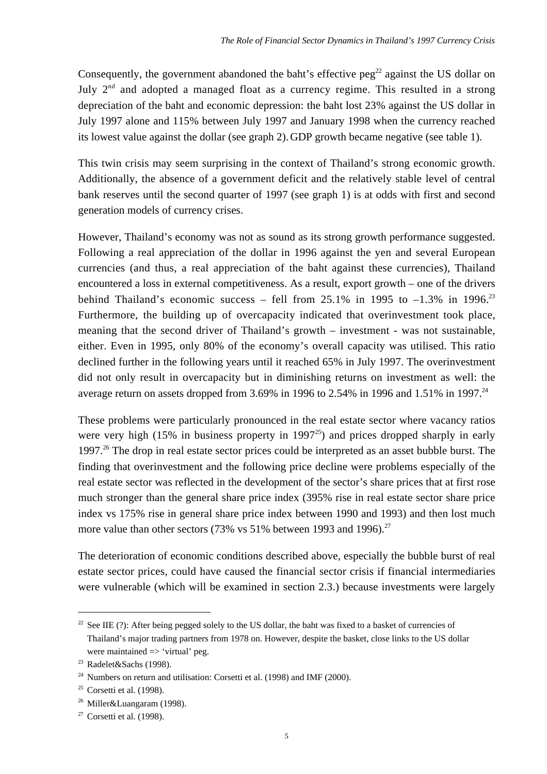Consequently, the government abandoned the baht's effective peg<sup>22</sup> against the US dollar on July  $2<sup>nd</sup>$  and adopted a managed float as a currency regime. This resulted in a strong depreciation of the baht and economic depression: the baht lost 23% against the US dollar in July 1997 alone and 115% between July 1997 and January 1998 when the currency reached its lowest value against the dollar (see graph 2).GDP growth became negative (see table 1).

This twin crisis may seem surprising in the context of Thailand's strong economic growth. Additionally, the absence of a government deficit and the relatively stable level of central bank reserves until the second quarter of 1997 (see graph 1) is at odds with first and second generation models of currency crises.

However, Thailand's economy was not as sound as its strong growth performance suggested. Following a real appreciation of the dollar in 1996 against the yen and several European currencies (and thus, a real appreciation of the baht against these currencies), Thailand encountered a loss in external competitiveness. As a result, export growth – one of the drivers behind Thailand's economic success – fell from 25.1% in 1995 to  $-1.3\%$  in 1996.<sup>23</sup> Furthermore, the building up of overcapacity indicated that overinvestment took place, meaning that the second driver of Thailand's growth – investment - was not sustainable, either. Even in 1995, only 80% of the economy's overall capacity was utilised. This ratio declined further in the following years until it reached 65% in July 1997. The overinvestment did not only result in overcapacity but in diminishing returns on investment as well: the average return on assets dropped from 3.69% in 1996 to 2.54% in 1996 and 1.51% in 1997.<sup>24</sup>

These problems were particularly pronounced in the real estate sector where vacancy ratios were very high (15% in business property in 1997<sup>25</sup>) and prices dropped sharply in early 1997.26 The drop in real estate sector prices could be interpreted as an asset bubble burst. The finding that overinvestment and the following price decline were problems especially of the real estate sector was reflected in the development of the sector's share prices that at first rose much stronger than the general share price index (395% rise in real estate sector share price index vs 175% rise in general share price index between 1990 and 1993) and then lost much more value than other sectors (73% vs 51% between 1993 and 1996).<sup>27</sup>

The deterioration of economic conditions described above, especially the bubble burst of real estate sector prices, could have caused the financial sector crisis if financial intermediaries were vulnerable (which will be examined in section 2.3.) because investments were largely

<sup>&</sup>lt;sup>22</sup> See IIE (?): After being pegged solely to the US dollar, the baht was fixed to a basket of currencies of Thailand's major trading partners from 1978 on. However, despite the basket, close links to the US dollar were maintained  $\Rightarrow$  'virtual' peg.

<sup>&</sup>lt;sup>23</sup> Radelet&Sachs (1998).

<sup>&</sup>lt;sup>24</sup> Numbers on return and utilisation: Corsetti et al. (1998) and IMF (2000).

 $25$  Corsetti et al. (1998).

<sup>26</sup> Miller&Luangaram (1998).

 $27$  Corsetti et al. (1998).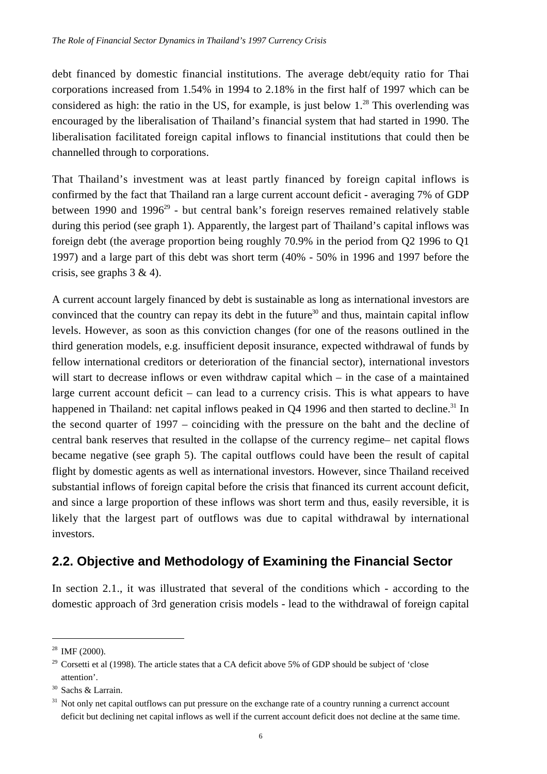debt financed by domestic financial institutions. The average debt/equity ratio for Thai corporations increased from 1.54% in 1994 to 2.18% in the first half of 1997 which can be considered as high: the ratio in the US, for example, is just below  $1.^{28}$  This overlending was encouraged by the liberalisation of Thailand's financial system that had started in 1990. The liberalisation facilitated foreign capital inflows to financial institutions that could then be channelled through to corporations.

That Thailand's investment was at least partly financed by foreign capital inflows is confirmed by the fact that Thailand ran a large current account deficit - averaging 7% of GDP between 1990 and 1996<sup>29</sup> - but central bank's foreign reserves remained relatively stable during this period (see graph 1). Apparently, the largest part of Thailand's capital inflows was foreign debt (the average proportion being roughly 70.9% in the period from Q2 1996 to Q1 1997) and a large part of this debt was short term (40% - 50% in 1996 and 1997 before the crisis, see graphs  $3 \& 4$ ).

A current account largely financed by debt is sustainable as long as international investors are convinced that the country can repay its debt in the future<sup>30</sup> and thus, maintain capital inflow levels. However, as soon as this conviction changes (for one of the reasons outlined in the third generation models, e.g. insufficient deposit insurance, expected withdrawal of funds by fellow international creditors or deterioration of the financial sector), international investors will start to decrease inflows or even withdraw capital which – in the case of a maintained large current account deficit – can lead to a currency crisis. This is what appears to have happened in Thailand: net capital inflows peaked in O4 1996 and then started to decline.<sup>31</sup> In the second quarter of 1997 – coinciding with the pressure on the baht and the decline of central bank reserves that resulted in the collapse of the currency regime– net capital flows became negative (see graph 5). The capital outflows could have been the result of capital flight by domestic agents as well as international investors. However, since Thailand received substantial inflows of foreign capital before the crisis that financed its current account deficit, and since a large proportion of these inflows was short term and thus, easily reversible, it is likely that the largest part of outflows was due to capital withdrawal by international investors.

### **2.2. Objective and Methodology of Examining the Financial Sector**

In section 2.1., it was illustrated that several of the conditions which - according to the domestic approach of 3rd generation crisis models - lead to the withdrawal of foreign capital

 $28$  IMF (2000).

<sup>&</sup>lt;sup>29</sup> Corsetti et al (1998). The article states that a CA deficit above 5% of GDP should be subject of 'close attention'.

<sup>30</sup> Sachs & Larrain.

<sup>&</sup>lt;sup>31</sup> Not only net capital outflows can put pressure on the exchange rate of a country running a currenct account deficit but declining net capital inflows as well if the current account deficit does not decline at the same time.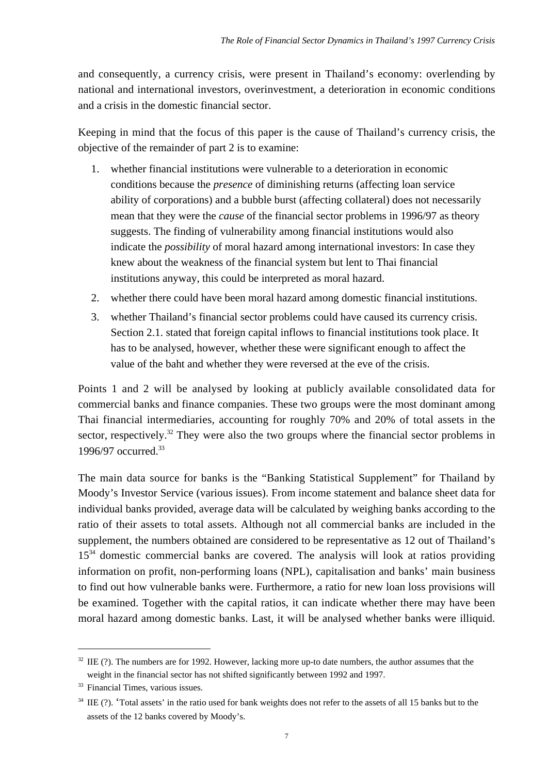and consequently, a currency crisis, were present in Thailand's economy: overlending by national and international investors, overinvestment, a deterioration in economic conditions and a crisis in the domestic financial sector.

Keeping in mind that the focus of this paper is the cause of Thailand's currency crisis, the objective of the remainder of part 2 is to examine:

- 1. whether financial institutions were vulnerable to a deterioration in economic conditions because the *presence* of diminishing returns (affecting loan service ability of corporations) and a bubble burst (affecting collateral) does not necessarily mean that they were the *cause* of the financial sector problems in 1996/97 as theory suggests. The finding of vulnerability among financial institutions would also indicate the *possibility* of moral hazard among international investors: In case they knew about the weakness of the financial system but lent to Thai financial institutions anyway, this could be interpreted as moral hazard.
- 2. whether there could have been moral hazard among domestic financial institutions.
- 3. whether Thailand's financial sector problems could have caused its currency crisis. Section 2.1. stated that foreign capital inflows to financial institutions took place. It has to be analysed, however, whether these were significant enough to affect the value of the baht and whether they were reversed at the eve of the crisis.

Points 1 and 2 will be analysed by looking at publicly available consolidated data for commercial banks and finance companies. These two groups were the most dominant among Thai financial intermediaries, accounting for roughly 70% and 20% of total assets in the sector, respectively.<sup>32</sup> They were also the two groups where the financial sector problems in 1996/97 occurred.<sup>33</sup>

The main data source for banks is the "Banking Statistical Supplement" for Thailand by Moody's Investor Service (various issues). From income statement and balance sheet data for individual banks provided, average data will be calculated by weighing banks according to the ratio of their assets to total assets. Although not all commercial banks are included in the supplement, the numbers obtained are considered to be representative as 12 out of Thailand's 15<sup>34</sup> domestic commercial banks are covered. The analysis will look at ratios providing information on profit, non-performing loans (NPL), capitalisation and banks' main business to find out how vulnerable banks were. Furthermore, a ratio for new loan loss provisions will be examined. Together with the capital ratios, it can indicate whether there may have been moral hazard among domestic banks. Last, it will be analysed whether banks were illiquid.

 $32$  IIE (?). The numbers are for 1992. However, lacking more up-to date numbers, the author assumes that the weight in the financial sector has not shifted significantly between 1992 and 1997.

<sup>&</sup>lt;sup>33</sup> Financial Times, various issues.

 $34$  IIE (?). 'Total assets' in the ratio used for bank weights does not refer to the assets of all 15 banks but to the assets of the 12 banks covered by Moody's.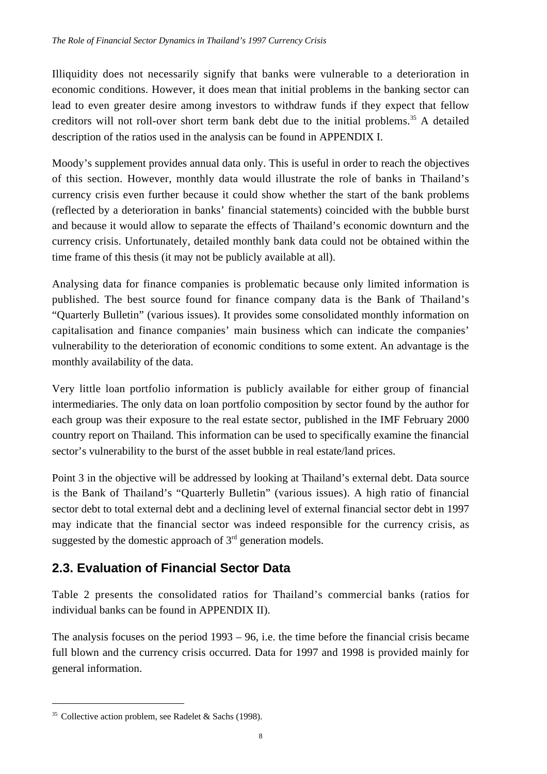Illiquidity does not necessarily signify that banks were vulnerable to a deterioration in economic conditions. However, it does mean that initial problems in the banking sector can lead to even greater desire among investors to withdraw funds if they expect that fellow creditors will not roll-over short term bank debt due to the initial problems.<sup>35</sup> A detailed description of the ratios used in the analysis can be found in APPENDIX I.

Moody's supplement provides annual data only. This is useful in order to reach the objectives of this section. However, monthly data would illustrate the role of banks in Thailand's currency crisis even further because it could show whether the start of the bank problems (reflected by a deterioration in banks' financial statements) coincided with the bubble burst and because it would allow to separate the effects of Thailand's economic downturn and the currency crisis. Unfortunately, detailed monthly bank data could not be obtained within the time frame of this thesis (it may not be publicly available at all).

Analysing data for finance companies is problematic because only limited information is published. The best source found for finance company data is the Bank of Thailand's "Quarterly Bulletin" (various issues). It provides some consolidated monthly information on capitalisation and finance companies' main business which can indicate the companies' vulnerability to the deterioration of economic conditions to some extent. An advantage is the monthly availability of the data.

Very little loan portfolio information is publicly available for either group of financial intermediaries. The only data on loan portfolio composition by sector found by the author for each group was their exposure to the real estate sector, published in the IMF February 2000 country report on Thailand. This information can be used to specifically examine the financial sector's vulnerability to the burst of the asset bubble in real estate/land prices.

Point 3 in the objective will be addressed by looking at Thailand's external debt. Data source is the Bank of Thailand's "Quarterly Bulletin" (various issues). A high ratio of financial sector debt to total external debt and a declining level of external financial sector debt in 1997 may indicate that the financial sector was indeed responsible for the currency crisis, as suggested by the domestic approach of  $3<sup>rd</sup>$  generation models.

## **2.3. Evaluation of Financial Sector Data**

Table 2 presents the consolidated ratios for Thailand's commercial banks (ratios for individual banks can be found in APPENDIX II).

The analysis focuses on the period 1993 – 96, i.e. the time before the financial crisis became full blown and the currency crisis occurred. Data for 1997 and 1998 is provided mainly for general information.

<sup>&</sup>lt;sup>35</sup> Collective action problem, see Radelet & Sachs (1998).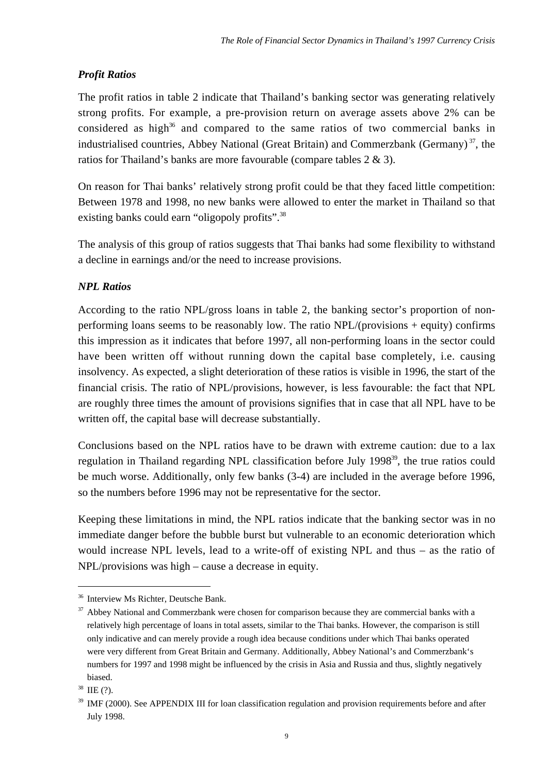### *Profit Ratios*

The profit ratios in table 2 indicate that Thailand's banking sector was generating relatively strong profits. For example, a pre-provision return on average assets above 2% can be considered as high<sup>36</sup> and compared to the same ratios of two commercial banks in industrialised countries, Abbey National (Great Britain) and Commerzbank (Germany)<sup>37</sup>, the ratios for Thailand's banks are more favourable (compare tables 2 & 3).

On reason for Thai banks' relatively strong profit could be that they faced little competition: Between 1978 and 1998, no new banks were allowed to enter the market in Thailand so that existing banks could earn "oligopoly profits".<sup>38</sup>

The analysis of this group of ratios suggests that Thai banks had some flexibility to withstand a decline in earnings and/or the need to increase provisions.

### *NPL Ratios*

According to the ratio NPL/gross loans in table 2, the banking sector's proportion of nonperforming loans seems to be reasonably low. The ratio NPL/(provisions + equity) confirms this impression as it indicates that before 1997, all non-performing loans in the sector could have been written off without running down the capital base completely, i.e. causing insolvency. As expected, a slight deterioration of these ratios is visible in 1996, the start of the financial crisis. The ratio of NPL/provisions, however, is less favourable: the fact that NPL are roughly three times the amount of provisions signifies that in case that all NPL have to be written off, the capital base will decrease substantially.

Conclusions based on the NPL ratios have to be drawn with extreme caution: due to a lax regulation in Thailand regarding NPL classification before July 1998<sup>39</sup>, the true ratios could be much worse. Additionally, only few banks (3-4) are included in the average before 1996, so the numbers before 1996 may not be representative for the sector.

Keeping these limitations in mind, the NPL ratios indicate that the banking sector was in no immediate danger before the bubble burst but vulnerable to an economic deterioration which would increase NPL levels, lead to a write-off of existing NPL and thus – as the ratio of NPL/provisions was high – cause a decrease in equity.

<sup>36</sup> Interview Ms Richter, Deutsche Bank.

<sup>&</sup>lt;sup>37</sup> Abbey National and Commerzbank were chosen for comparison because they are commercial banks with a relatively high percentage of loans in total assets, similar to the Thai banks. However, the comparison is still only indicative and can merely provide a rough idea because conditions under which Thai banks operated were very different from Great Britain and Germany. Additionally, Abbey National's and Commerzbank's numbers for 1997 and 1998 might be influenced by the crisis in Asia and Russia and thus, slightly negatively biased.

 $38$  IIE  $(?)$ .

<sup>&</sup>lt;sup>39</sup> IMF (2000). See APPENDIX III for loan classification regulation and provision requirements before and after July 1998.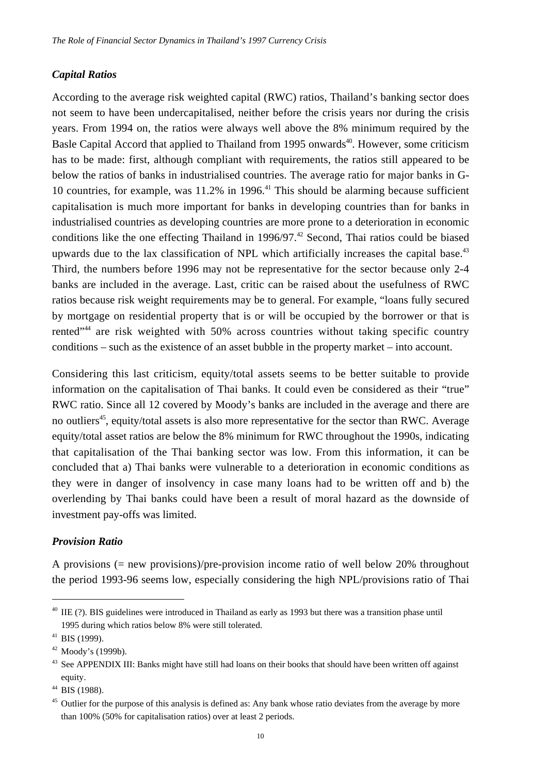#### *Capital Ratios*

According to the average risk weighted capital (RWC) ratios, Thailand's banking sector does not seem to have been undercapitalised, neither before the crisis years nor during the crisis years. From 1994 on, the ratios were always well above the 8% minimum required by the Basle Capital Accord that applied to Thailand from 1995 onwards<sup>40</sup>. However, some criticism has to be made: first, although compliant with requirements, the ratios still appeared to be below the ratios of banks in industrialised countries. The average ratio for major banks in G-10 countries, for example, was  $11.2\%$  in 1996.<sup>41</sup> This should be alarming because sufficient capitalisation is much more important for banks in developing countries than for banks in industrialised countries as developing countries are more prone to a deterioration in economic conditions like the one effecting Thailand in  $1996/97$ .<sup>42</sup> Second, Thai ratios could be biased upwards due to the lax classification of NPL which artificially increases the capital base.<sup>43</sup> Third, the numbers before 1996 may not be representative for the sector because only 2-4 banks are included in the average. Last, critic can be raised about the usefulness of RWC ratios because risk weight requirements may be to general. For example, "loans fully secured by mortgage on residential property that is or will be occupied by the borrower or that is rented"<sup>44</sup> are risk weighted with 50% across countries without taking specific country conditions – such as the existence of an asset bubble in the property market – into account.

Considering this last criticism, equity/total assets seems to be better suitable to provide information on the capitalisation of Thai banks. It could even be considered as their "true" RWC ratio. Since all 12 covered by Moody's banks are included in the average and there are no outliers<sup>45</sup>, equity/total assets is also more representative for the sector than RWC. Average equity/total asset ratios are below the 8% minimum for RWC throughout the 1990s, indicating that capitalisation of the Thai banking sector was low. From this information, it can be concluded that a) Thai banks were vulnerable to a deterioration in economic conditions as they were in danger of insolvency in case many loans had to be written off and b) the overlending by Thai banks could have been a result of moral hazard as the downside of investment pay-offs was limited.

#### *Provision Ratio*

A provisions  $(=$  new provisions)/pre-provision income ratio of well below 20% throughout the period 1993-96 seems low, especially considering the high NPL/provisions ratio of Thai

 $40$  IIE (?). BIS guidelines were introduced in Thailand as early as 1993 but there was a transition phase until 1995 during which ratios below 8% were still tolerated.

<sup>41</sup> BIS (1999).

 $42$  Moody's (1999b).

<sup>&</sup>lt;sup>43</sup> See APPENDIX III: Banks might have still had loans on their books that should have been written off against equity.

<sup>44</sup> BIS (1988).

<sup>&</sup>lt;sup>45</sup> Outlier for the purpose of this analysis is defined as: Any bank whose ratio deviates from the average by more than 100% (50% for capitalisation ratios) over at least 2 periods.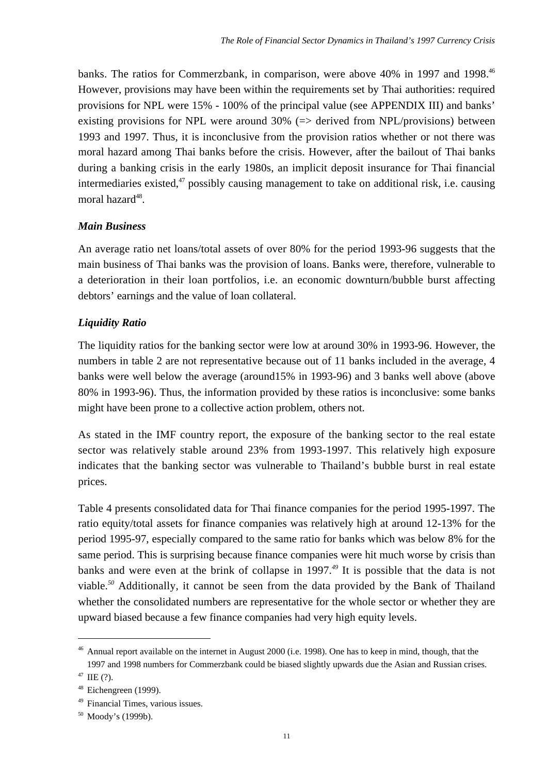banks. The ratios for Commerzbank, in comparison, were above 40% in 1997 and 1998.<sup>46</sup> However, provisions may have been within the requirements set by Thai authorities: required provisions for NPL were 15% - 100% of the principal value (see APPENDIX III) and banks' existing provisions for NPL were around  $30\%$  ( $\Rightarrow$  derived from NPL/provisions) between 1993 and 1997. Thus, it is inconclusive from the provision ratios whether or not there was moral hazard among Thai banks before the crisis. However, after the bailout of Thai banks during a banking crisis in the early 1980s, an implicit deposit insurance for Thai financial intermediaries existed, $47$  possibly causing management to take on additional risk, i.e. causing moral hazard $48$ .

#### *Main Business*

An average ratio net loans/total assets of over 80% for the period 1993-96 suggests that the main business of Thai banks was the provision of loans. Banks were, therefore, vulnerable to a deterioration in their loan portfolios, i.e. an economic downturn/bubble burst affecting debtors' earnings and the value of loan collateral.

#### *Liquidity Ratio*

The liquidity ratios for the banking sector were low at around 30% in 1993-96. However, the numbers in table 2 are not representative because out of 11 banks included in the average, 4 banks were well below the average (around15% in 1993-96) and 3 banks well above (above 80% in 1993-96). Thus, the information provided by these ratios is inconclusive: some banks might have been prone to a collective action problem, others not.

As stated in the IMF country report, the exposure of the banking sector to the real estate sector was relatively stable around 23% from 1993-1997. This relatively high exposure indicates that the banking sector was vulnerable to Thailand's bubble burst in real estate prices.

Table 4 presents consolidated data for Thai finance companies for the period 1995-1997. The ratio equity/total assets for finance companies was relatively high at around 12-13% for the period 1995-97, especially compared to the same ratio for banks which was below 8% for the same period. This is surprising because finance companies were hit much worse by crisis than banks and were even at the brink of collapse in 1997.*<sup>49</sup>* It is possible that the data is not viable.*<sup>50</sup>* Additionally, it cannot be seen from the data provided by the Bank of Thailand whether the consolidated numbers are representative for the whole sector or whether they are upward biased because a few finance companies had very high equity levels.

<sup>&</sup>lt;sup>46</sup> Annual report available on the internet in August 2000 (i.e. 1998). One has to keep in mind, though, that the 1997 and 1998 numbers for Commerzbank could be biased slightly upwards due the Asian and Russian crises.  $47$  IIE (?).

<sup>48</sup> Eichengreen (1999).

<sup>49</sup> Financial Times, various issues.

<sup>50</sup> Moody's (1999b).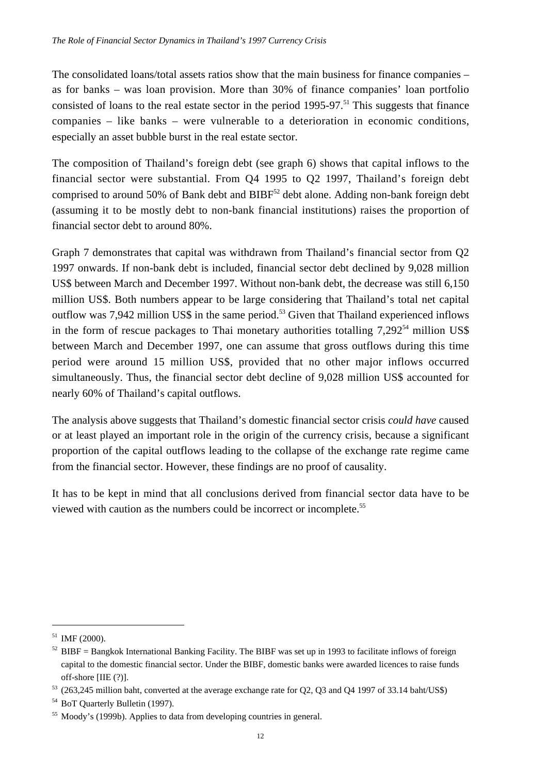The consolidated loans/total assets ratios show that the main business for finance companies – as for banks – was loan provision. More than 30% of finance companies' loan portfolio consisted of loans to the real estate sector in the period  $1995-97$ .<sup>51</sup> This suggests that finance companies – like banks – were vulnerable to a deterioration in economic conditions, especially an asset bubble burst in the real estate sector.

The composition of Thailand's foreign debt (see graph 6) shows that capital inflows to the financial sector were substantial. From Q4 1995 to Q2 1997, Thailand's foreign debt comprised to around 50% of Bank debt and BIBF<sup>52</sup> debt alone. Adding non-bank foreign debt (assuming it to be mostly debt to non-bank financial institutions) raises the proportion of financial sector debt to around 80%.

Graph 7 demonstrates that capital was withdrawn from Thailand's financial sector from Q2 1997 onwards. If non-bank debt is included, financial sector debt declined by 9,028 million US\$ between March and December 1997. Without non-bank debt, the decrease was still 6,150 million US\$. Both numbers appear to be large considering that Thailand's total net capital outflow was 7,942 million US\$ in the same period.<sup>53</sup> Given that Thailand experienced inflows in the form of rescue packages to Thai monetary authorities totalling  $7.292^{54}$  million US\$ between March and December 1997, one can assume that gross outflows during this time period were around 15 million US\$, provided that no other major inflows occurred simultaneously. Thus, the financial sector debt decline of 9,028 million US\$ accounted for nearly 60% of Thailand's capital outflows.

The analysis above suggests that Thailand's domestic financial sector crisis *could have* caused or at least played an important role in the origin of the currency crisis, because a significant proportion of the capital outflows leading to the collapse of the exchange rate regime came from the financial sector. However, these findings are no proof of causality.

It has to be kept in mind that all conclusions derived from financial sector data have to be viewed with caution as the numbers could be incorrect or incomplete.55

 $51$  IMF (2000).

 $52$  BIBF = Bangkok International Banking Facility. The BIBF was set up in 1993 to facilitate inflows of foreign capital to the domestic financial sector. Under the BIBF, domestic banks were awarded licences to raise funds off-shore [IIE (?)].

<sup>53</sup> (263,245 million baht, converted at the average exchange rate for Q2, Q3 and Q4 1997 of 33.14 baht/US\$)

<sup>54</sup> BoT Quarterly Bulletin (1997).

<sup>&</sup>lt;sup>55</sup> Moody's (1999b). Applies to data from developing countries in general.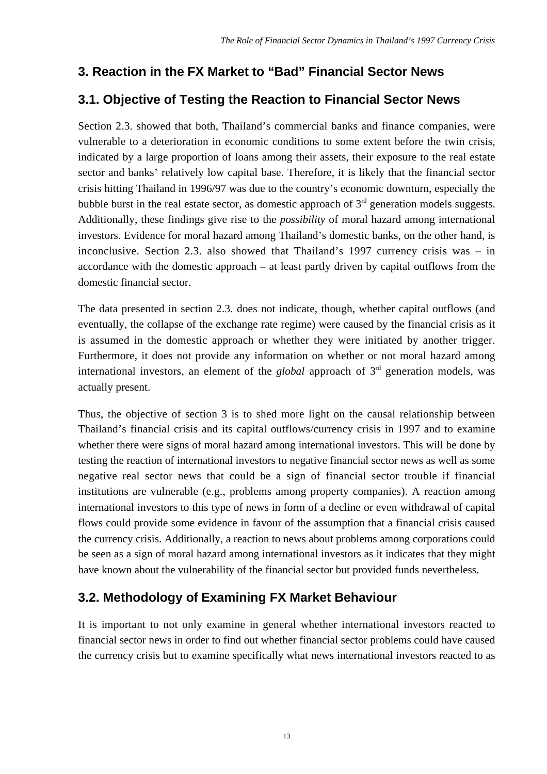## **3. Reaction in the FX Market to "Bad" Financial Sector News**

## **3.1. Objective of Testing the Reaction to Financial Sector News**

Section 2.3. showed that both, Thailand's commercial banks and finance companies, were vulnerable to a deterioration in economic conditions to some extent before the twin crisis, indicated by a large proportion of loans among their assets, their exposure to the real estate sector and banks' relatively low capital base. Therefore, it is likely that the financial sector crisis hitting Thailand in 1996/97 was due to the country's economic downturn, especially the bubble burst in the real estate sector, as domestic approach of  $3<sup>rd</sup>$  generation models suggests. Additionally, these findings give rise to the *possibility* of moral hazard among international investors. Evidence for moral hazard among Thailand's domestic banks, on the other hand, is inconclusive. Section 2.3. also showed that Thailand's 1997 currency crisis was – in accordance with the domestic approach – at least partly driven by capital outflows from the domestic financial sector.

The data presented in section 2.3. does not indicate, though, whether capital outflows (and eventually, the collapse of the exchange rate regime) were caused by the financial crisis as it is assumed in the domestic approach or whether they were initiated by another trigger. Furthermore, it does not provide any information on whether or not moral hazard among international investors, an element of the *global* approach of 3rd generation models, was actually present.

Thus, the objective of section 3 is to shed more light on the causal relationship between Thailand's financial crisis and its capital outflows/currency crisis in 1997 and to examine whether there were signs of moral hazard among international investors. This will be done by testing the reaction of international investors to negative financial sector news as well as some negative real sector news that could be a sign of financial sector trouble if financial institutions are vulnerable (e.g., problems among property companies). A reaction among international investors to this type of news in form of a decline or even withdrawal of capital flows could provide some evidence in favour of the assumption that a financial crisis caused the currency crisis. Additionally, a reaction to news about problems among corporations could be seen as a sign of moral hazard among international investors as it indicates that they might have known about the vulnerability of the financial sector but provided funds nevertheless.

## **3.2. Methodology of Examining FX Market Behaviour**

It is important to not only examine in general whether international investors reacted to financial sector news in order to find out whether financial sector problems could have caused the currency crisis but to examine specifically what news international investors reacted to as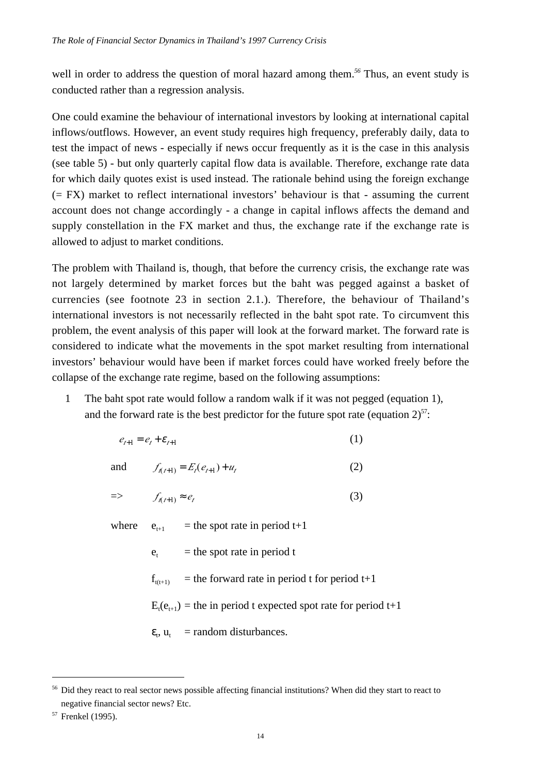well in order to address the question of moral hazard among them.<sup>56</sup> Thus, an event study is conducted rather than a regression analysis.

One could examine the behaviour of international investors by looking at international capital inflows/outflows. However, an event study requires high frequency, preferably daily, data to test the impact of news - especially if news occur frequently as it is the case in this analysis (see table 5) - but only quarterly capital flow data is available. Therefore, exchange rate data for which daily quotes exist is used instead. The rationale behind using the foreign exchange (= FX) market to reflect international investors' behaviour is that - assuming the current account does not change accordingly - a change in capital inflows affects the demand and supply constellation in the FX market and thus, the exchange rate if the exchange rate is allowed to adjust to market conditions.

The problem with Thailand is, though, that before the currency crisis, the exchange rate was not largely determined by market forces but the baht was pegged against a basket of currencies (see footnote 23 in section 2.1.). Therefore, the behaviour of Thailand's international investors is not necessarily reflected in the baht spot rate. To circumvent this problem, the event analysis of this paper will look at the forward market. The forward rate is considered to indicate what the movements in the spot market resulting from international investors' behaviour would have been if market forces could have worked freely before the collapse of the exchange rate regime, based on the following assumptions:

1 The baht spot rate would follow a random walk if it was not pegged (equation 1), and the forward rate is the best predictor for the future spot rate (equation  $2^{57}$ :

$$
e_{t+1} = e_t + \varepsilon_{t+1} \tag{1}
$$

and  $f_{n+1} = E_{t}(e_{t+1}) + u_{t}$  (2)

$$
\Rightarrow \qquad f_{\ell(t+1)} \approx e_t \tag{3}
$$

where  $e_{t+1}$  = the spot rate in period t+1

- $e_t$  = the spot rate in period t
- $f_{(t+1)}$  = the forward rate in period t for period t+1

 $E_t(e_{t+1})$  = the in period t expected spot rate for period t+1

 $\varepsilon_t$ ,  $u_t$  = random disturbances.

<sup>&</sup>lt;sup>56</sup> Did they react to real sector news possible affecting financial institutions? When did they start to react to negative financial sector news? Etc.

<sup>&</sup>lt;sup>57</sup> Frenkel (1995).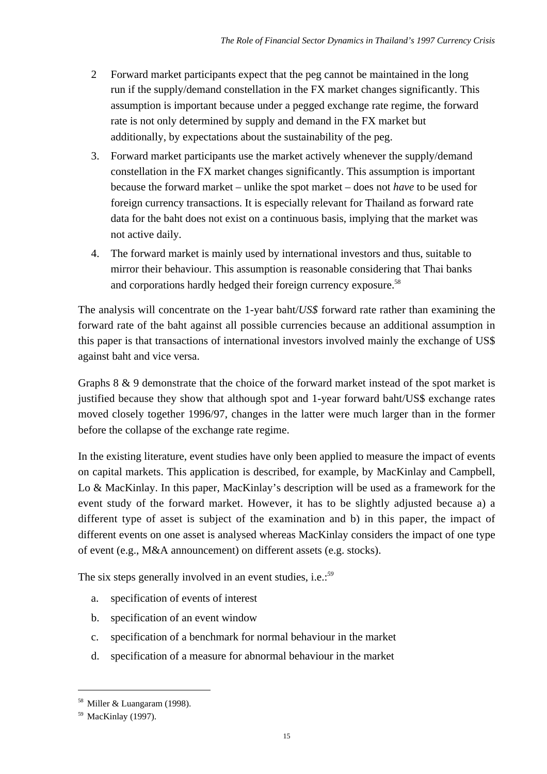- 2 Forward market participants expect that the peg cannot be maintained in the long run if the supply/demand constellation in the FX market changes significantly. This assumption is important because under a pegged exchange rate regime, the forward rate is not only determined by supply and demand in the FX market but additionally, by expectations about the sustainability of the peg.
- 3. Forward market participants use the market actively whenever the supply/demand constellation in the FX market changes significantly. This assumption is important because the forward market – unlike the spot market – does not *have* to be used for foreign currency transactions. It is especially relevant for Thailand as forward rate data for the baht does not exist on a continuous basis, implying that the market was not active daily.
- 4. The forward market is mainly used by international investors and thus, suitable to mirror their behaviour. This assumption is reasonable considering that Thai banks and corporations hardly hedged their foreign currency exposure.<sup>58</sup>

The analysis will concentrate on the 1-year baht/*US\$* forward rate rather than examining the forward rate of the baht against all possible currencies because an additional assumption in this paper is that transactions of international investors involved mainly the exchange of US\$ against baht and vice versa.

Graphs 8 & 9 demonstrate that the choice of the forward market instead of the spot market is justified because they show that although spot and 1-year forward baht/US\$ exchange rates moved closely together 1996/97, changes in the latter were much larger than in the former before the collapse of the exchange rate regime.

In the existing literature, event studies have only been applied to measure the impact of events on capital markets. This application is described, for example, by MacKinlay and Campbell, Lo & MacKinlay. In this paper, MacKinlay's description will be used as a framework for the event study of the forward market. However, it has to be slightly adjusted because a) a different type of asset is subject of the examination and b) in this paper, the impact of different events on one asset is analysed whereas MacKinlay considers the impact of one type of event (e.g., M&A announcement) on different assets (e.g. stocks).

The six steps generally involved in an event studies, i.e.:*<sup>59</sup>*

- a. specification of events of interest
- b. specification of an event window
- c. specification of a benchmark for normal behaviour in the market
- d. specification of a measure for abnormal behaviour in the market

 $58$  Miller & Luangaram (1998).

<sup>59</sup> MacKinlay (1997).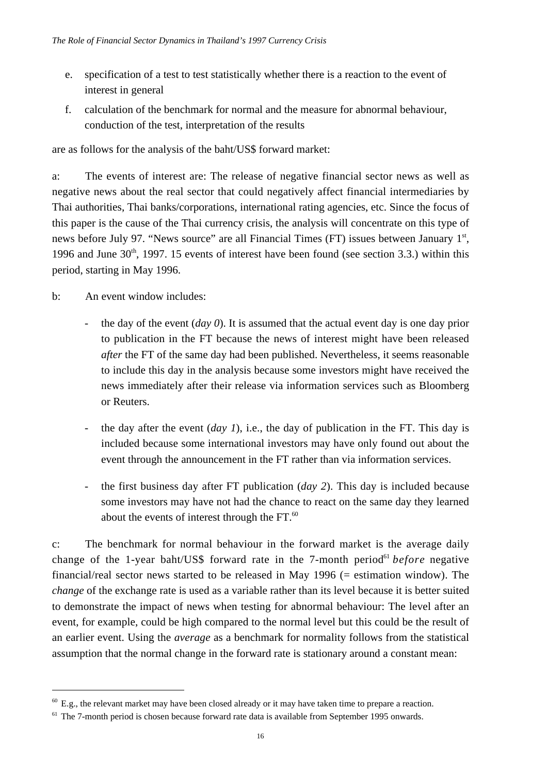- e. specification of a test to test statistically whether there is a reaction to the event of interest in general
- f. calculation of the benchmark for normal and the measure for abnormal behaviour, conduction of the test, interpretation of the results

are as follows for the analysis of the baht/US\$ forward market:

a: The events of interest are: The release of negative financial sector news as well as negative news about the real sector that could negatively affect financial intermediaries by Thai authorities, Thai banks/corporations, international rating agencies, etc. Since the focus of this paper is the cause of the Thai currency crisis, the analysis will concentrate on this type of news before July 97. "News source" are all Financial Times (FT) issues between January 1st, 1996 and June  $30<sup>th</sup>$ , 1997. 15 events of interest have been found (see section 3.3.) within this period, starting in May 1996.

b: An event window includes:

 $\overline{a}$ 

- the day of the event (*day 0*). It is assumed that the actual event day is one day prior to publication in the FT because the news of interest might have been released *after* the FT of the same day had been published. Nevertheless, it seems reasonable to include this day in the analysis because some investors might have received the news immediately after their release via information services such as Bloomberg or Reuters.
- the day after the event (*day 1*), i.e., the day of publication in the FT. This day is included because some international investors may have only found out about the event through the announcement in the FT rather than via information services.
- the first business day after FT publication (*day 2*). This day is included because some investors may have not had the chance to react on the same day they learned about the events of interest through the  $FT.^{60}$ .

c: The benchmark for normal behaviour in the forward market is the average daily change of the 1-year baht/US\$ forward rate in the 7-month period<sup>61</sup> *before* negative financial/real sector news started to be released in May 1996 (= estimation window). The *change* of the exchange rate is used as a variable rather than its level because it is better suited to demonstrate the impact of news when testing for abnormal behaviour: The level after an event, for example, could be high compared to the normal level but this could be the result of an earlier event. Using the *average* as a benchmark for normality follows from the statistical assumption that the normal change in the forward rate is stationary around a constant mean:

 $60$  E.g., the relevant market may have been closed already or it may have taken time to prepare a reaction.

 $61$  The 7-month period is chosen because forward rate data is available from September 1995 onwards.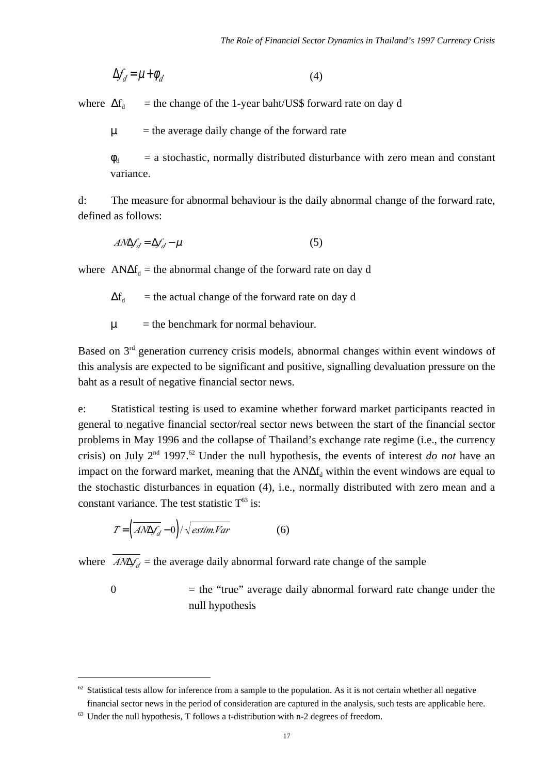$$
\Delta f_d = \mu + \phi_d \tag{4}
$$

where  $\Delta f_d$  = the change of the 1-year baht/US\$ forward rate on day d

 $\mu$  = the average daily change of the forward rate

 $\phi_d$  = a stochastic, normally distributed disturbance with zero mean and constant variance.

d: The measure for abnormal behaviour is the daily abnormal change of the forward rate, defined as follows:

$$
A N \Delta f_d = \Delta f_d - \mu \tag{5}
$$

where  $AN\Delta f_d$  = the abnormal change of the forward rate on day d

 $\Delta f_d$  = the actual change of the forward rate on day d

 $\mu$  = the benchmark for normal behaviour.

Based on  $3<sup>rd</sup>$  generation currency crisis models, abnormal changes within event windows of this analysis are expected to be significant and positive, signalling devaluation pressure on the baht as a result of negative financial sector news.

e: Statistical testing is used to examine whether forward market participants reacted in general to negative financial sector/real sector news between the start of the financial sector problems in May 1996 and the collapse of Thailand's exchange rate regime (i.e., the currency crisis) on July 2<sup>nd</sup> 1997.<sup>62</sup> Under the null hypothesis, the events of interest *do not* have an impact on the forward market, meaning that the  $AN\Delta f_d$  within the event windows are equal to the stochastic disturbances in equation (4), i.e., normally distributed with zero mean and a constant variance. The test statistic  $T^{63}$  is:

$$
T = \left(\overline{AN\Delta f_d} - 0\right) / \sqrt{estim.Var} \tag{6}
$$

 $\overline{a}$ 

where  $\overline{A N \Delta f_d}$  = the average daily abnormal forward rate change of the sample

 $0 =$  the "true" average daily abnormal forward rate change under the null hypothesis

 $62$  Statistical tests allow for inference from a sample to the population. As it is not certain whether all negative financial sector news in the period of consideration are captured in the analysis, such tests are applicable here.

 $63$  Under the null hypothesis, T follows a t-distribution with n-2 degrees of freedom.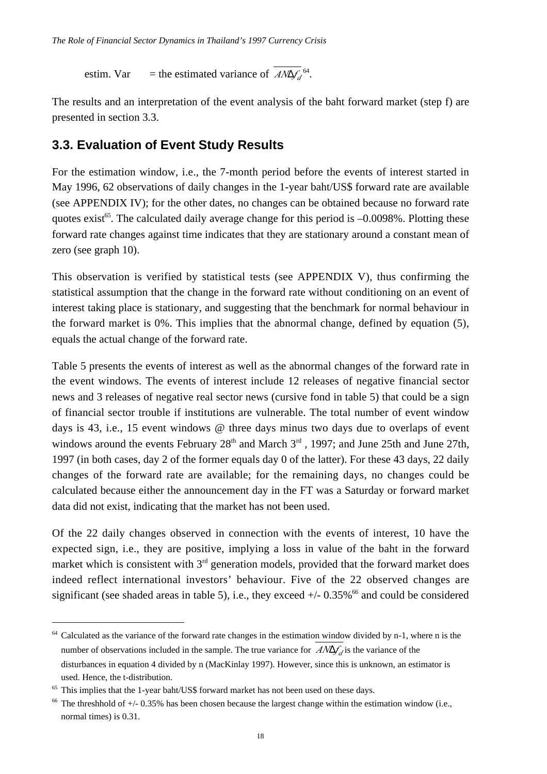estim. Var = the estimated variance of  $A/N\Delta f_d^{64}$ .

The results and an interpretation of the event analysis of the baht forward market (step f) are presented in section 3.3.

### **3.3. Evaluation of Event Study Results**

For the estimation window, i.e., the 7-month period before the events of interest started in May 1996, 62 observations of daily changes in the 1-year baht/US\$ forward rate are available (see APPENDIX IV); for the other dates, no changes can be obtained because no forward rate quotes exist<sup>65</sup>. The calculated daily average change for this period is  $-0.0098\%$ . Plotting these forward rate changes against time indicates that they are stationary around a constant mean of zero (see graph 10).

This observation is verified by statistical tests (see APPENDIX V), thus confirming the statistical assumption that the change in the forward rate without conditioning on an event of interest taking place is stationary, and suggesting that the benchmark for normal behaviour in the forward market is 0%. This implies that the abnormal change, defined by equation (5), equals the actual change of the forward rate.

Table 5 presents the events of interest as well as the abnormal changes of the forward rate in the event windows. The events of interest include 12 releases of negative financial sector news and 3 releases of negative real sector news (cursive fond in table 5) that could be a sign of financial sector trouble if institutions are vulnerable. The total number of event window days is 43, i.e., 15 event windows @ three days minus two days due to overlaps of event windows around the events February  $28<sup>th</sup>$  and March  $3<sup>rd</sup>$ , 1997; and June 25th and June 27th, 1997 (in both cases, day 2 of the former equals day 0 of the latter). For these 43 days, 22 daily changes of the forward rate are available; for the remaining days, no changes could be calculated because either the announcement day in the FT was a Saturday or forward market data did not exist, indicating that the market has not been used.

Of the 22 daily changes observed in connection with the events of interest, 10 have the expected sign, i.e., they are positive, implying a loss in value of the baht in the forward market which is consistent with  $3<sup>rd</sup>$  generation models, provided that the forward market does indeed reflect international investors' behaviour. Five of the 22 observed changes are significant (see shaded areas in table 5), i.e., they exceed  $+/- 0.35\%$ <sup>66</sup> and could be considered

 $64$  Calculated as the variance of the forward rate changes in the estimation window divided by n-1, where n is the number of observations included in the sample. The true variance for  $A/\Delta f$  is the variance of the disturbances in equation 4 divided by n (MacKinlay 1997). However, since this is unknown, an estimator is used. Hence, the t-distribution.

 $65$  This implies that the 1-year baht/US\$ forward market has not been used on these days.

 $66$  The threshhold of  $+/- 0.35\%$  has been chosen because the largest change within the estimation window (i.e., normal times) is 0.31.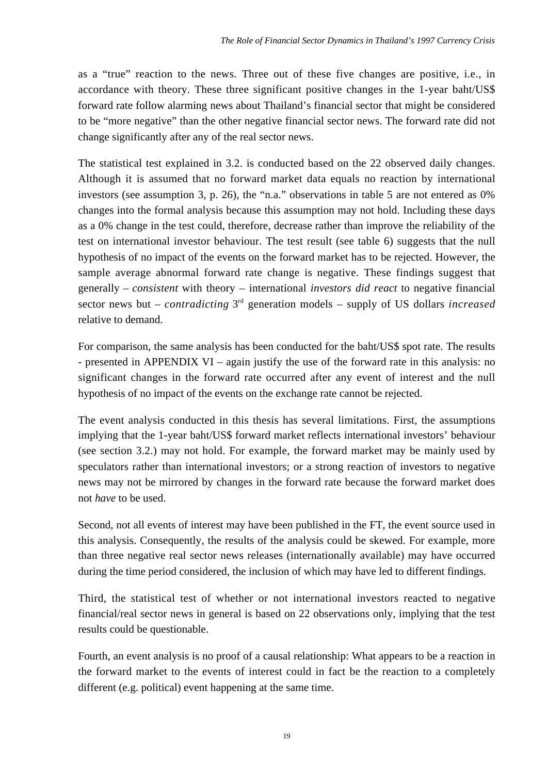as a "true" reaction to the news. Three out of these five changes are positive, i.e., in accordance with theory. These three significant positive changes in the 1-year baht/US\$ forward rate follow alarming news about Thailand's financial sector that might be considered to be "more negative" than the other negative financial sector news. The forward rate did not change significantly after any of the real sector news.

The statistical test explained in 3.2. is conducted based on the 22 observed daily changes. Although it is assumed that no forward market data equals no reaction by international investors (see assumption 3, p. 26), the "n.a." observations in table 5 are not entered as 0% changes into the formal analysis because this assumption may not hold. Including these days as a 0% change in the test could, therefore, decrease rather than improve the reliability of the test on international investor behaviour. The test result (see table 6) suggests that the null hypothesis of no impact of the events on the forward market has to be rejected. However, the sample average abnormal forward rate change is negative. These findings suggest that generally – *consistent* with theory – international *investors did react* to negative financial sector news but – *contradicting* 3rd generation models – supply of US dollars *increased* relative to demand.

For comparison, the same analysis has been conducted for the baht/US\$ spot rate. The results - presented in APPENDIX VI – again justify the use of the forward rate in this analysis: no significant changes in the forward rate occurred after any event of interest and the null hypothesis of no impact of the events on the exchange rate cannot be rejected.

The event analysis conducted in this thesis has several limitations. First, the assumptions implying that the 1-year baht/US\$ forward market reflects international investors' behaviour (see section 3.2.) may not hold. For example, the forward market may be mainly used by speculators rather than international investors; or a strong reaction of investors to negative news may not be mirrored by changes in the forward rate because the forward market does not *have* to be used.

Second, not all events of interest may have been published in the FT, the event source used in this analysis. Consequently, the results of the analysis could be skewed. For example, more than three negative real sector news releases (internationally available) may have occurred during the time period considered, the inclusion of which may have led to different findings.

Third, the statistical test of whether or not international investors reacted to negative financial/real sector news in general is based on 22 observations only, implying that the test results could be questionable.

Fourth, an event analysis is no proof of a causal relationship: What appears to be a reaction in the forward market to the events of interest could in fact be the reaction to a completely different (e.g. political) event happening at the same time.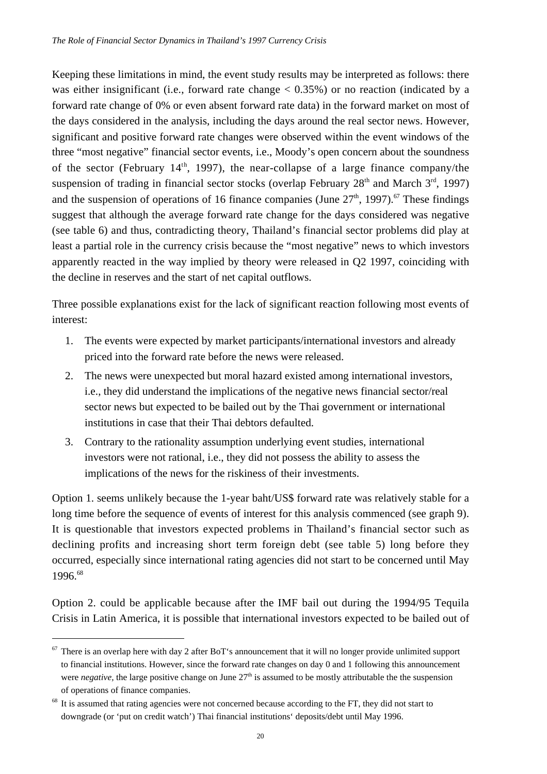Keeping these limitations in mind, the event study results may be interpreted as follows: there was either insignificant (i.e., forward rate change  $< 0.35\%$ ) or no reaction (indicated by a forward rate change of 0% or even absent forward rate data) in the forward market on most of the days considered in the analysis, including the days around the real sector news. However, significant and positive forward rate changes were observed within the event windows of the three "most negative" financial sector events, i.e., Moody's open concern about the soundness of the sector (February 14<sup>th</sup>, 1997), the near-collapse of a large finance company/the suspension of trading in financial sector stocks (overlap February  $28<sup>th</sup>$  and March  $3<sup>rd</sup>$ , 1997) and the suspension of operations of 16 finance companies (June  $27<sup>th</sup>$ , 1997).<sup>67</sup> These findings suggest that although the average forward rate change for the days considered was negative (see table 6) and thus, contradicting theory, Thailand's financial sector problems did play at least a partial role in the currency crisis because the "most negative" news to which investors apparently reacted in the way implied by theory were released in Q2 1997, coinciding with the decline in reserves and the start of net capital outflows.

Three possible explanations exist for the lack of significant reaction following most events of interest:

- 1. The events were expected by market participants/international investors and already priced into the forward rate before the news were released.
- 2. The news were unexpected but moral hazard existed among international investors, i.e., they did understand the implications of the negative news financial sector/real sector news but expected to be bailed out by the Thai government or international institutions in case that their Thai debtors defaulted.
- 3. Contrary to the rationality assumption underlying event studies, international investors were not rational, i.e., they did not possess the ability to assess the implications of the news for the riskiness of their investments.

Option 1. seems unlikely because the 1-year baht/US\$ forward rate was relatively stable for a long time before the sequence of events of interest for this analysis commenced (see graph 9). It is questionable that investors expected problems in Thailand's financial sector such as declining profits and increasing short term foreign debt (see table 5) long before they occurred, especially since international rating agencies did not start to be concerned until May 1996.68

Option 2. could be applicable because after the IMF bail out during the 1994/95 Tequila Crisis in Latin America, it is possible that international investors expected to be bailed out of

 $67$  There is an overlap here with day 2 after BoT's announcement that it will no longer provide unlimited support to financial institutions. However, since the forward rate changes on day 0 and 1 following this announcement were *negative*, the large positive change on June  $27<sup>th</sup>$  is assumed to be mostly attributable the the suspension of operations of finance companies.

<sup>&</sup>lt;sup>68</sup> It is assumed that rating agencies were not concerned because according to the FT, they did not start to downgrade (or 'put on credit watch') Thai financial institutions' deposits/debt until May 1996.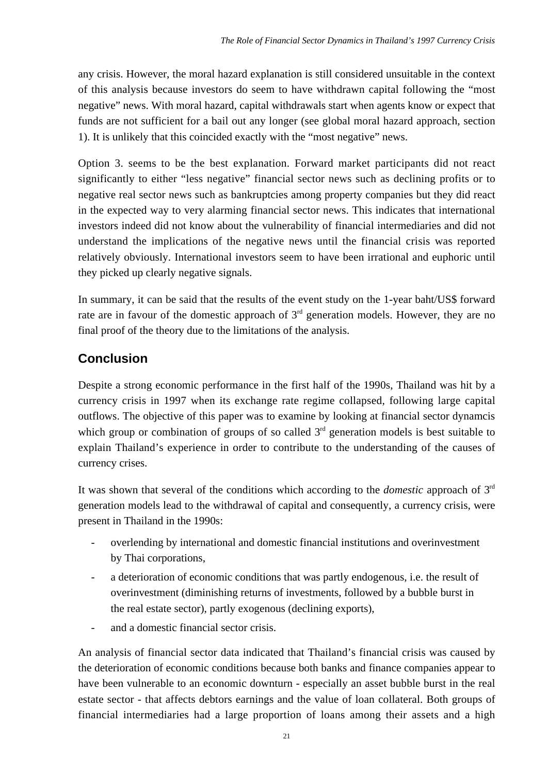any crisis. However, the moral hazard explanation is still considered unsuitable in the context of this analysis because investors do seem to have withdrawn capital following the "most negative" news. With moral hazard, capital withdrawals start when agents know or expect that funds are not sufficient for a bail out any longer (see global moral hazard approach, section 1). It is unlikely that this coincided exactly with the "most negative" news.

Option 3. seems to be the best explanation. Forward market participants did not react significantly to either "less negative" financial sector news such as declining profits or to negative real sector news such as bankruptcies among property companies but they did react in the expected way to very alarming financial sector news. This indicates that international investors indeed did not know about the vulnerability of financial intermediaries and did not understand the implications of the negative news until the financial crisis was reported relatively obviously. International investors seem to have been irrational and euphoric until they picked up clearly negative signals.

In summary, it can be said that the results of the event study on the 1-year baht/US\$ forward rate are in favour of the domestic approach of  $3<sup>rd</sup>$  generation models. However, they are no final proof of the theory due to the limitations of the analysis.

## **Conclusion**

Despite a strong economic performance in the first half of the 1990s, Thailand was hit by a currency crisis in 1997 when its exchange rate regime collapsed, following large capital outflows. The objective of this paper was to examine by looking at financial sector dynamcis which group or combination of groups of so called  $3<sup>rd</sup>$  generation models is best suitable to explain Thailand's experience in order to contribute to the understanding of the causes of currency crises.

It was shown that several of the conditions which according to the *domestic* approach of 3rd generation models lead to the withdrawal of capital and consequently, a currency crisis, were present in Thailand in the 1990s:

- overlending by international and domestic financial institutions and overinvestment by Thai corporations,
- a deterioration of economic conditions that was partly endogenous, i.e. the result of overinvestment (diminishing returns of investments, followed by a bubble burst in the real estate sector), partly exogenous (declining exports),
- and a domestic financial sector crisis.

An analysis of financial sector data indicated that Thailand's financial crisis was caused by the deterioration of economic conditions because both banks and finance companies appear to have been vulnerable to an economic downturn - especially an asset bubble burst in the real estate sector - that affects debtors earnings and the value of loan collateral. Both groups of financial intermediaries had a large proportion of loans among their assets and a high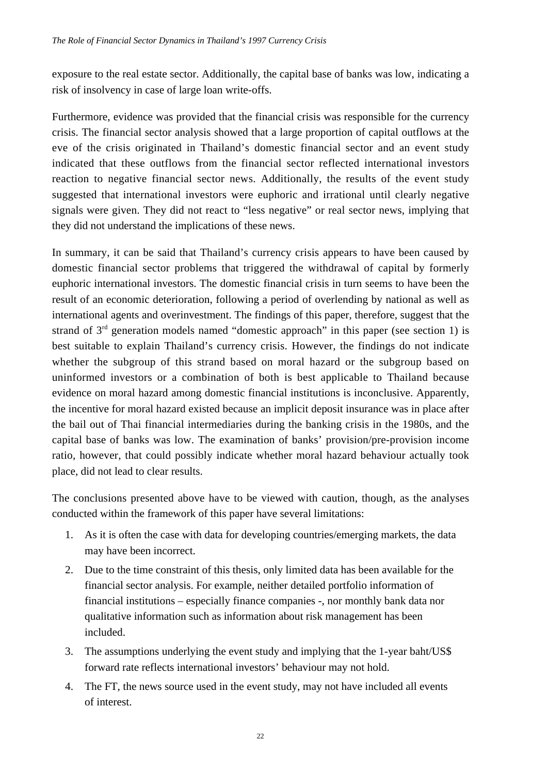exposure to the real estate sector. Additionally, the capital base of banks was low, indicating a risk of insolvency in case of large loan write-offs.

Furthermore, evidence was provided that the financial crisis was responsible for the currency crisis. The financial sector analysis showed that a large proportion of capital outflows at the eve of the crisis originated in Thailand's domestic financial sector and an event study indicated that these outflows from the financial sector reflected international investors reaction to negative financial sector news. Additionally, the results of the event study suggested that international investors were euphoric and irrational until clearly negative signals were given. They did not react to "less negative" or real sector news, implying that they did not understand the implications of these news.

In summary, it can be said that Thailand's currency crisis appears to have been caused by domestic financial sector problems that triggered the withdrawal of capital by formerly euphoric international investors. The domestic financial crisis in turn seems to have been the result of an economic deterioration, following a period of overlending by national as well as international agents and overinvestment. The findings of this paper, therefore, suggest that the strand of  $3<sup>rd</sup>$  generation models named "domestic approach" in this paper (see section 1) is best suitable to explain Thailand's currency crisis. However, the findings do not indicate whether the subgroup of this strand based on moral hazard or the subgroup based on uninformed investors or a combination of both is best applicable to Thailand because evidence on moral hazard among domestic financial institutions is inconclusive. Apparently, the incentive for moral hazard existed because an implicit deposit insurance was in place after the bail out of Thai financial intermediaries during the banking crisis in the 1980s, and the capital base of banks was low. The examination of banks' provision/pre-provision income ratio, however, that could possibly indicate whether moral hazard behaviour actually took place, did not lead to clear results.

The conclusions presented above have to be viewed with caution, though, as the analyses conducted within the framework of this paper have several limitations:

- 1. As it is often the case with data for developing countries/emerging markets, the data may have been incorrect.
- 2. Due to the time constraint of this thesis, only limited data has been available for the financial sector analysis. For example, neither detailed portfolio information of financial institutions – especially finance companies -, nor monthly bank data nor qualitative information such as information about risk management has been included.
- 3. The assumptions underlying the event study and implying that the 1-year baht/US\$ forward rate reflects international investors' behaviour may not hold.
- 4. The FT, the news source used in the event study, may not have included all events of interest.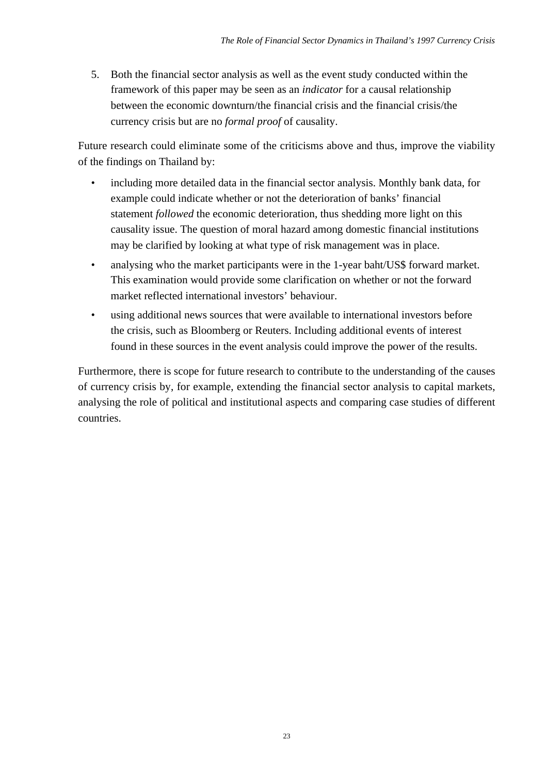5. Both the financial sector analysis as well as the event study conducted within the framework of this paper may be seen as an *indicator* for a causal relationship between the economic downturn/the financial crisis and the financial crisis/the currency crisis but are no *formal proof* of causality.

Future research could eliminate some of the criticisms above and thus, improve the viability of the findings on Thailand by:

- including more detailed data in the financial sector analysis. Monthly bank data, for example could indicate whether or not the deterioration of banks' financial statement *followed* the economic deterioration, thus shedding more light on this causality issue. The question of moral hazard among domestic financial institutions may be clarified by looking at what type of risk management was in place.
- analysing who the market participants were in the 1-year baht/US\$ forward market. This examination would provide some clarification on whether or not the forward market reflected international investors' behaviour.
- using additional news sources that were available to international investors before the crisis, such as Bloomberg or Reuters. Including additional events of interest found in these sources in the event analysis could improve the power of the results.

Furthermore, there is scope for future research to contribute to the understanding of the causes of currency crisis by, for example, extending the financial sector analysis to capital markets, analysing the role of political and institutional aspects and comparing case studies of different countries.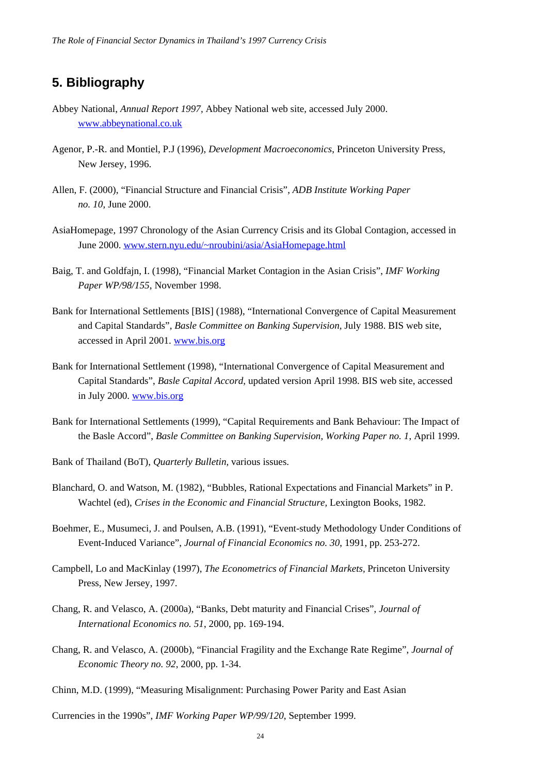### **5. Bibliography**

- Abbey National, *Annual Report 1997,* Abbey National web site, accessed July 2000. www.abbeynational.co.uk
- Agenor, P.-R. and Montiel, P.J (1996), *Development Macroeconomics*, Princeton University Press, New Jersey, 1996.
- Allen, F. (2000), "Financial Structure and Financial Crisis", *ADB Institute Working Paper no. 10*, June 2000.
- AsiaHomepage, 1997 Chronology of the Asian Currency Crisis and its Global Contagion, accessed in June 2000. www.stern.nyu.edu/~nroubini/asia/AsiaHomepage.html
- Baig, T. and Goldfajn, I. (1998), "Financial Market Contagion in the Asian Crisis", *IMF Working Paper WP/98/155*, November 1998.
- Bank for International Settlements [BIS] (1988), "International Convergence of Capital Measurement and Capital Standards", *Basle Committee on Banking Supervision,* July 1988. BIS web site, accessed in April 2001. www.bis.org
- Bank for International Settlement (1998), "International Convergence of Capital Measurement and Capital Standards", *Basle Capital Accord*, updated version April 1998. BIS web site, accessed in July 2000. www.bis.org
- Bank for International Settlements (1999), "Capital Requirements and Bank Behaviour: The Impact of the Basle Accord", *Basle Committee on Banking Supervision, Working Paper no. 1*, April 1999.
- Bank of Thailand (BoT), *Quarterly Bulletin,* various issues.
- Blanchard, O. and Watson, M. (1982), "Bubbles, Rational Expectations and Financial Markets" in P. Wachtel (ed), *Crises in the Economic and Financial Structure,* Lexington Books, 1982.
- Boehmer, E., Musumeci, J. and Poulsen, A.B. (1991), "Event-study Methodology Under Conditions of Event-Induced Variance", *Journal of Financial Economics no. 30*, 1991, pp. 253-272.
- Campbell, Lo and MacKinlay (1997), *The Econometrics of Financial Markets,* Princeton University Press, New Jersey, 1997.
- Chang, R. and Velasco, A. (2000a), "Banks, Debt maturity and Financial Crises", *Journal of International Economics no. 51*, 2000, pp. 169-194.
- Chang, R. and Velasco, A. (2000b), "Financial Fragility and the Exchange Rate Regime", *Journal of Economic Theory no. 92*, 2000, pp. 1-34.
- Chinn, M.D. (1999), "Measuring Misalignment: Purchasing Power Parity and East Asian

Currencies in the 1990s", *IMF Working Paper WP/99/120*, September 1999.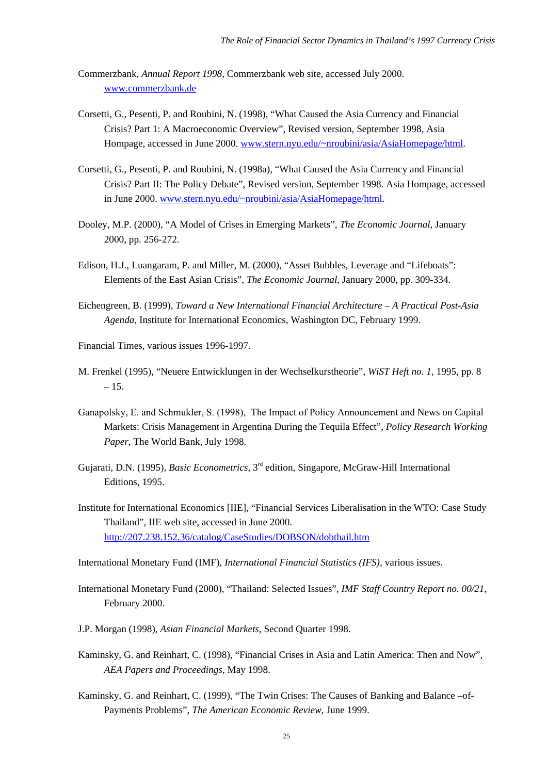- Commerzbank, *Annual Report 1998,* Commerzbank web site, accessed July 2000. www.commerzbank.de
- Corsetti, G., Pesenti, P. and Roubini, N. (1998), "What Caused the Asia Currency and Financial Crisis? Part 1: A Macroeconomic Overview", Revised version, September 1998, Asia Hompage, accessed in June 2000. www.stern.nyu.edu/~nroubini/asia/AsiaHomepage/html.
- Corsetti, G., Pesenti, P. and Roubini, N. (1998a), "What Caused the Asia Currency and Financial Crisis? Part II: The Policy Debate", Revised version, September 1998. Asia Hompage, accessed in June 2000. www.stern.nyu.edu/~nroubini/asia/AsiaHomepage/html.
- Dooley, M.P. (2000), "A Model of Crises in Emerging Markets", *The Economic Journal*, January 2000, pp. 256-272.
- Edison, H.J., Luangaram, P. and Miller, M. (2000), "Asset Bubbles, Leverage and "Lifeboats": Elements of the East Asian Crisis", *The Economic Journal*, January 2000, pp. 309-334.
- Eichengreen, B. (1999), *Toward a New International Financial Architecture A Practical Post-Asia Agenda,* Institute for International Economics, Washington DC, February 1999.
- Financial Times, various issues 1996-1997.
- M. Frenkel (1995), "Neuere Entwicklungen in der Wechselkurstheorie", *WiST Heft no. 1*, 1995*,* pp. 8  $-15.$
- Ganapolsky, E. and Schmukler, S. (1998), The Impact of Policy Announcement and News on Capital Markets: Crisis Management in Argentina During the Tequila Effect", *Policy Research Working Paper*, The World Bank, July 1998.
- Gujarati, D.N. (1995), *Basic Econometrics,* 3rd edition, Singapore, McGraw-Hill International Editions, 1995.
- Institute for International Economics [IIE], "Financial Services Liberalisation in the WTO: Case Study Thailand", IIE web site, accessed in June 2000. http://207.238.152.36/catalog/CaseStudies/DOBSON/dobthail.htm

International Monetary Fund (IMF), *International Financial Statistics (IFS),* various issues.

- International Monetary Fund (2000), "Thailand: Selected Issues", *IMF Staff Country Report no. 00/21*, February 2000.
- J.P. Morgan (1998), *Asian Financial Markets*, Second Quarter 1998.
- Kaminsky, G. and Reinhart, C. (1998), "Financial Crises in Asia and Latin America: Then and Now", *AEA Papers and Proceedings*, May 1998.
- Kaminsky, G. and Reinhart, C. (1999), "The Twin Crises: The Causes of Banking and Balance –of-Payments Problems", *The American Economic Review*, June 1999.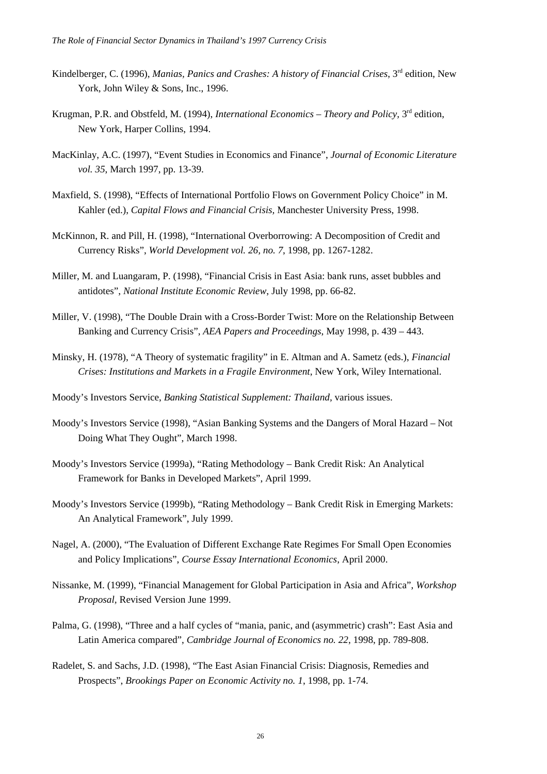- Kindelberger, C. (1996), *Manias, Panics and Crashes: A history of Financial Crises*, 3<sup>rd</sup> edition, New York, John Wiley & Sons, Inc., 1996.
- Krugman, P.R. and Obstfeld, M. (1994), *International Economics Theory and Policy*, 3<sup>rd</sup> edition, New York, Harper Collins, 1994.
- MacKinlay, A.C. (1997), "Event Studies in Economics and Finance", *Journal of Economic Literature vol. 35*, March 1997, pp. 13-39.
- Maxfield, S. (1998), "Effects of International Portfolio Flows on Government Policy Choice" in M. Kahler (ed.), *Capital Flows and Financial Crisis,* Manchester University Press, 1998.
- McKinnon, R. and Pill, H. (1998), "International Overborrowing: A Decomposition of Credit and Currency Risks", *World Development vol. 26, no. 7*, 1998, pp. 1267-1282.
- Miller, M. and Luangaram, P. (1998), "Financial Crisis in East Asia: bank runs, asset bubbles and antidotes", *National Institute Economic Review*, July 1998, pp. 66-82.
- Miller, V. (1998), "The Double Drain with a Cross-Border Twist: More on the Relationship Between Banking and Currency Crisis", *AEA Papers and Proceedings*, May 1998, p. 439 – 443.
- Minsky, H. (1978), "A Theory of systematic fragility" in E. Altman and A. Sametz (eds.), *Financial Crises: Institutions and Markets in a Fragile Environment*, New York, Wiley International.
- Moody's Investors Service, *Banking Statistical Supplement: Thailand,* various issues.
- Moody's Investors Service (1998), "Asian Banking Systems and the Dangers of Moral Hazard Not Doing What They Ought", March 1998.
- Moody's Investors Service (1999a), "Rating Methodology Bank Credit Risk: An Analytical Framework for Banks in Developed Markets", April 1999.
- Moody's Investors Service (1999b), "Rating Methodology Bank Credit Risk in Emerging Markets: An Analytical Framework", July 1999.
- Nagel, A. (2000), "The Evaluation of Different Exchange Rate Regimes For Small Open Economies and Policy Implications", *Course Essay International Economics*, April 2000.
- Nissanke, M. (1999), "Financial Management for Global Participation in Asia and Africa", *Workshop Proposal,* Revised Version June 1999.
- Palma, G. (1998), "Three and a half cycles of "mania, panic, and (asymmetric) crash": East Asia and Latin America compared", *Cambridge Journal of Economics no. 22*, 1998, pp. 789-808.
- Radelet, S. and Sachs, J.D. (1998), "The East Asian Financial Crisis: Diagnosis, Remedies and Prospects", *Brookings Paper on Economic Activity no. 1*, 1998, pp. 1-74.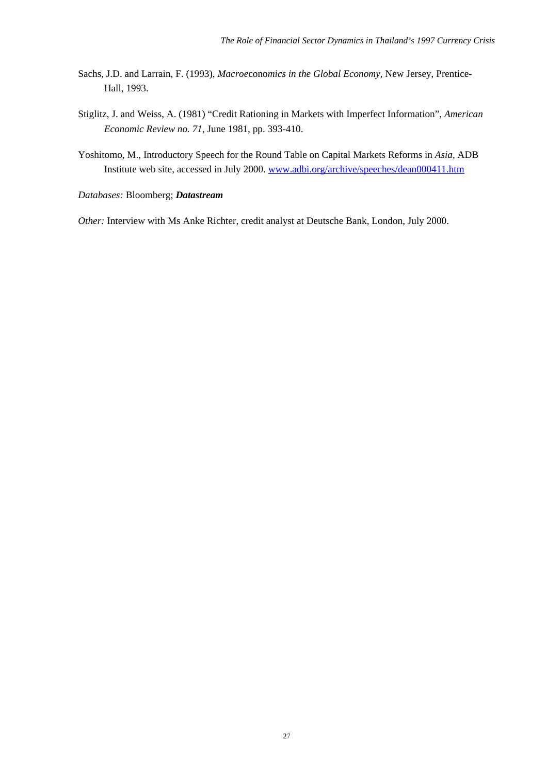- Sachs, J.D. and Larrain, F. (1993), *Macroe*cono*mics in the Global Economy,* New Jersey, Prentice-Hall, 1993.
- Stiglitz, J. and Weiss, A. (1981) "Credit Rationing in Markets with Imperfect Information", *American Economic Review no. 71*, June 1981, pp. 393-410.
- Yoshitomo, M., Introductory Speech for the Round Table on Capital Markets Reforms in *Asia*, ADB Institute web site, accessed in July 2000. www.adbi.org/archive/speeches/dean000411.htm

#### *Databases:* Bloomberg; *Datastream*

*Other:* Interview with Ms Anke Richter, credit analyst at Deutsche Bank, London, July 2000.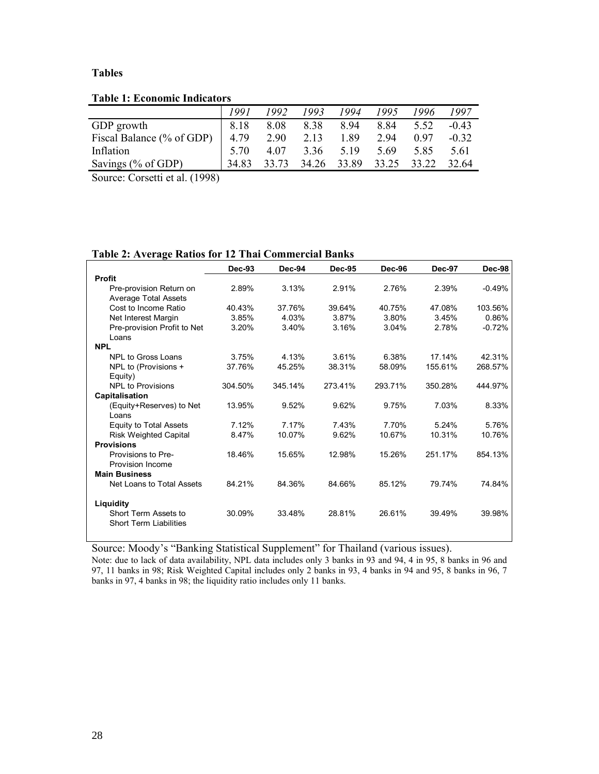#### **Tables**

**Table 1: Economic Indicators** 

|                                                                   | 1991  | 1992  | 1993  | 1994  | 1995  | 1996  | 1997    |
|-------------------------------------------------------------------|-------|-------|-------|-------|-------|-------|---------|
| GDP growth                                                        | 8.18  | 8.08  | 8.38  | 8.94  | 8.84  | 5.52  | $-0.43$ |
| Fiscal Balance (% of GDP)                                         | 4.79  | 2.90  | 2.13  | 1.89  | 2.94  | 0.97  | $-0.32$ |
| Inflation                                                         | 5.70  | 4.07  | 3.36  | 5.19  | 5.69  | 585   | 5.61    |
| Savings (% of GDP)                                                | 34.83 | 33.73 | 34.26 | 33.89 | 33.25 | 33.22 | 32.64   |
| $\sim$<br>$\sim$ $\sim$ $\sim$ $\sim$ $\sim$ $\sim$ $\sim$ $\sim$ |       |       |       |       |       |       |         |

Source: Corsetti et al. (1998)

**Table 2: Average Ratios for 12 Thai Commercial Banks** 

|                               | <b>Dec-93</b> | <b>Dec-94</b> | <b>Dec-95</b> | <b>Dec-96</b> | <b>Dec-97</b> | Dec-98   |
|-------------------------------|---------------|---------------|---------------|---------------|---------------|----------|
| <b>Profit</b>                 |               |               |               |               |               |          |
| Pre-provision Return on       | 2.89%         | 3.13%         | 2.91%         | 2.76%         | 2.39%         | $-0.49%$ |
| <b>Average Total Assets</b>   |               |               |               |               |               |          |
| Cost to Income Ratio          | 40.43%        | 37.76%        | 39.64%        | 40.75%        | 47.08%        | 103.56%  |
| Net Interest Margin           | 3.85%         | 4.03%         | 3.87%         | 3.80%         | 3.45%         | 0.86%    |
| Pre-provision Profit to Net   | 3.20%         | 3.40%         | 3.16%         | 3.04%         | 2.78%         | $-0.72%$ |
| Loans                         |               |               |               |               |               |          |
| <b>NPL</b>                    |               |               |               |               |               |          |
| NPL to Gross Loans            | 3.75%         | 4.13%         | 3.61%         | 6.38%         | 17.14%        | 42.31%   |
| NPL to (Provisions +          | 37.76%        | 45.25%        | 38.31%        | 58.09%        | 155.61%       | 268.57%  |
| $Equity$ )                    |               |               |               |               |               |          |
| <b>NPL to Provisions</b>      | 304.50%       | 345.14%       | 273.41%       | 293.71%       | 350.28%       | 444.97%  |
| Capitalisation                |               |               |               |               |               |          |
| (Equity+Reserves) to Net      | 13.95%        | 9.52%         | 9.62%         | 9.75%         | 7.03%         | 8.33%    |
| Loans                         |               |               |               |               |               |          |
| <b>Equity to Total Assets</b> | 7.12%         | 7.17%         | 7.43%         | 7.70%         | 5.24%         | 5.76%    |
| <b>Risk Weighted Capital</b>  | 8.47%         | 10.07%        | 9.62%         | 10.67%        | 10.31%        | 10.76%   |
| <b>Provisions</b>             |               |               |               |               |               |          |
| Provisions to Pre-            | 18.46%        | 15.65%        | 12.98%        | 15.26%        | 251.17%       | 854.13%  |
| Provision Income              |               |               |               |               |               |          |
| <b>Main Business</b>          |               |               |               |               |               |          |
| Net Loans to Total Assets     | 84.21%        | 84.36%        | 84.66%        | 85.12%        | 79.74%        | 74.84%   |
|                               |               |               |               |               |               |          |
| Liquidity                     |               |               |               |               |               |          |
| Short Term Assets to          | 30.09%        | 33.48%        | 28.81%        | 26.61%        | 39.49%        | 39.98%   |
| <b>Short Term Liabilities</b> |               |               |               |               |               |          |
|                               |               |               |               |               |               |          |

Source: Moody's "Banking Statistical Supplement" for Thailand (various issues). Note: due to lack of data availability, NPL data includes only 3 banks in 93 and 94, 4 in 95, 8 banks in 96 and 97, 11 banks in 98; Risk Weighted Capital includes only 2 banks in 93, 4 banks in 94 and 95, 8 banks in 96, 7 banks in 97, 4 banks in 98; the liquidity ratio includes only 11 banks.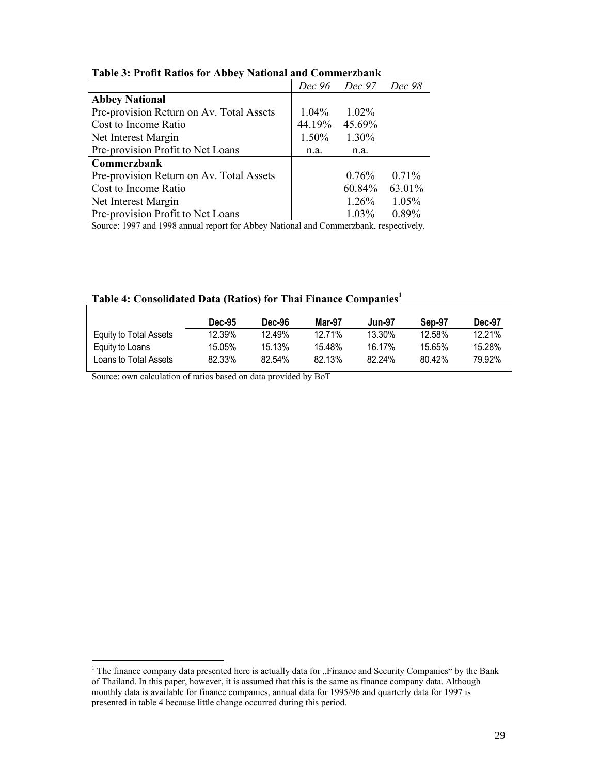| Tubic of 110m rutios for those, thursday und commercial |          |                      |        |  |  |  |  |
|---------------------------------------------------------|----------|----------------------|--------|--|--|--|--|
|                                                         |          | Dec 96 Dec 97 Dec 98 |        |  |  |  |  |
| <b>Abbey National</b>                                   |          |                      |        |  |  |  |  |
| Pre-provision Return on Av. Total Assets                | $1.04\%$ | $1.02\%$             |        |  |  |  |  |
| Cost to Income Ratio                                    | 44.19%   | 45.69%               |        |  |  |  |  |
| Net Interest Margin                                     | 1.50%    | 1.30%                |        |  |  |  |  |
| Pre-provision Profit to Net Loans                       | n.a.     | n.a.                 |        |  |  |  |  |
| Commerzbank                                             |          |                      |        |  |  |  |  |
| Pre-provision Return on Av. Total Assets                |          | $0.76\%$             | 0.71%  |  |  |  |  |
| Cost to Income Ratio                                    |          | 60.84%               | 63.01% |  |  |  |  |
| Net Interest Margin                                     |          | 1.26%                | 1.05%  |  |  |  |  |
| Pre-provision Profit to Net Loans                       |          | 1.03%                | 0.89%  |  |  |  |  |

**Table 3: Profit Ratios for Abbey National and Commerzbank** 

Source: 1997 and 1998 annual report for Abbey National and Commerzbank, respectively.

|                        | <b>Dec-95</b> | <b>Dec-96</b> | Mar-97 | <b>Jun-97</b> | Sep-97 | Dec-97 |
|------------------------|---------------|---------------|--------|---------------|--------|--------|
| Equity to Total Assets | 12.39%        | 12.49%        | 12.71% | 13.30%        | 12.58% | 12.21% |
| Equity to Loans        | 15.05%        | 15 13%        | 15.48% | 16.17%        | 15.65% | 15.28% |
| Loans to Total Assets  | 82.33%        | $82.54\%$     | 82.13% | 82.24%        | 80.42% | 79.92% |

### **Table 4: Consolidated Data (Ratios) for Thai Finance Companies1**

Source: own calculation of ratios based on data provided by BoT

<sup>&</sup>lt;sup>1</sup> The finance company data presented here is actually data for "Finance and Security Companies" by the Bank of Thailand. In this paper, however, it is assumed that this is the same as finance company data. Although monthly data is available for finance companies, annual data for 1995/96 and quarterly data for 1997 is presented in table 4 because little change occurred during this period.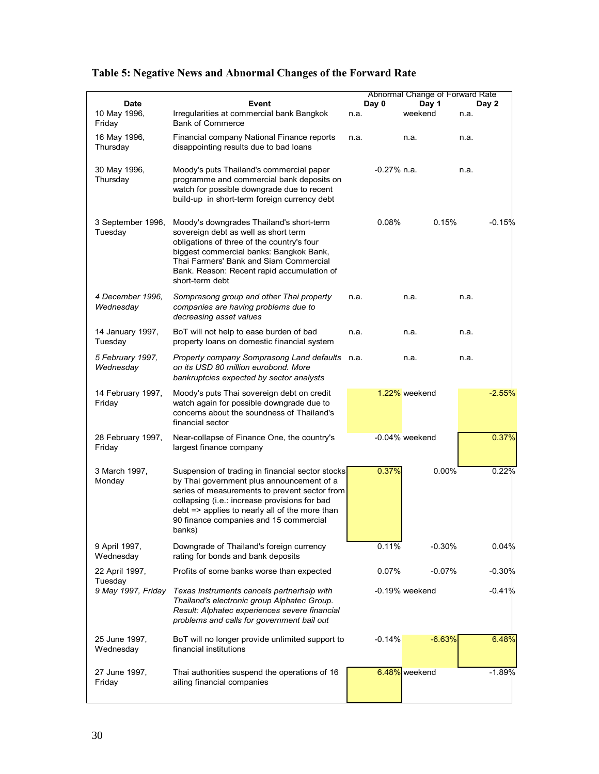|                               |                                                                                                                                                                                                                                                                                                       | Abnormal Change of Forward Rate |                   |      |          |  |
|-------------------------------|-------------------------------------------------------------------------------------------------------------------------------------------------------------------------------------------------------------------------------------------------------------------------------------------------------|---------------------------------|-------------------|------|----------|--|
| <b>Date</b>                   | Event                                                                                                                                                                                                                                                                                                 | Day 0                           | Day 1             |      | Day 2    |  |
| 10 May 1996,<br>Friday        | Irregularities at commercial bank Bangkok<br><b>Bank of Commerce</b>                                                                                                                                                                                                                                  | n.a.                            | weekend           | n.a. |          |  |
| 16 May 1996,<br>Thursday      | Financial company National Finance reports<br>disappointing results due to bad loans                                                                                                                                                                                                                  | n.a.                            | n.a.              | n.a. |          |  |
| 30 May 1996,<br>Thursday      | Moody's puts Thailand's commercial paper<br>programme and commercial bank deposits on<br>watch for possible downgrade due to recent<br>build-up in short-term foreign currency debt                                                                                                                   | $-0.27\%$ n.a.                  |                   | n.a. |          |  |
| 3 September 1996,<br>Tuesday  | Moody's downgrades Thailand's short-term<br>sovereign debt as well as short term<br>obligations of three of the country's four<br>biggest commercial banks: Bangkok Bank,<br>Thai Farmers' Bank and Siam Commercial<br>Bank. Reason: Recent rapid accumulation of<br>short-term debt                  | 0.08%                           | 0.15%             |      | $-0.15%$ |  |
| 4 December 1996.<br>Wednesday | Somprasong group and other Thai property<br>companies are having problems due to<br>decreasing asset values                                                                                                                                                                                           | n.a.                            | n.a.              | n.a. |          |  |
| 14 January 1997,<br>Tuesday   | BoT will not help to ease burden of bad<br>property loans on domestic financial system                                                                                                                                                                                                                | n.a.                            | n.a.              | n.a. |          |  |
| 5 February 1997,<br>Wednesday | Property company Somprasong Land defaults n.a.<br>on its USD 80 million eurobond. More<br>bankruptcies expected by sector analysts                                                                                                                                                                    |                                 | n.a.              | n.a. |          |  |
| 14 February 1997,<br>Friday   | Moody's puts Thai sovereign debt on credit<br>watch again for possible downgrade due to<br>concerns about the soundness of Thailand's<br>financial sector                                                                                                                                             |                                 | 1.22% weekend     |      | $-2.55%$ |  |
| 28 February 1997,<br>Friday   | Near-collapse of Finance One, the country's<br>largest finance company                                                                                                                                                                                                                                |                                 | $-0.04\%$ weekend |      | 0.37%    |  |
| 3 March 1997,<br>Monday       | Suspension of trading in financial sector stocks<br>by Thai government plus announcement of a<br>series of measurements to prevent sector from<br>collapsing (i.e.: increase provisions for bad<br>debt => applies to nearly all of the more than<br>90 finance companies and 15 commercial<br>banks) | 0.37%                           | $0.00\%$          |      | 0.22%    |  |
| 9 April 1997,<br>Wednesday    | Downgrade of Thailand's foreign currency<br>rating for bonds and bank deposits                                                                                                                                                                                                                        | 0.11%                           | $-0.30%$          |      | 0.04%    |  |
| 22 April 1997,<br>Tuesday     | Profits of some banks worse than expected                                                                                                                                                                                                                                                             | 0.07%                           | $-0.07\%$         |      | $-0.30%$ |  |
| 9 May 1997, Friday            | Texas Instruments cancels partnerhsip with<br>Thailand's electronic group Alphatec Group.<br>Result: Alphatec experiences severe financial<br>problems and calls for government bail out                                                                                                              |                                 | -0.19% weekend    |      | -0.41%   |  |
| 25 June 1997,<br>Wednesday    | BoT will no longer provide unlimited support to<br>financial institutions                                                                                                                                                                                                                             | $-0.14%$                        | $-6.63%$          |      | 6.48%    |  |
| 27 June 1997,<br>Friday       | Thai authorities suspend the operations of 16<br>ailing financial companies                                                                                                                                                                                                                           |                                 | 6.48% weekend     |      | $-1.89%$ |  |

### **Table 5: Negative News and Abnormal Changes of the Forward Rate**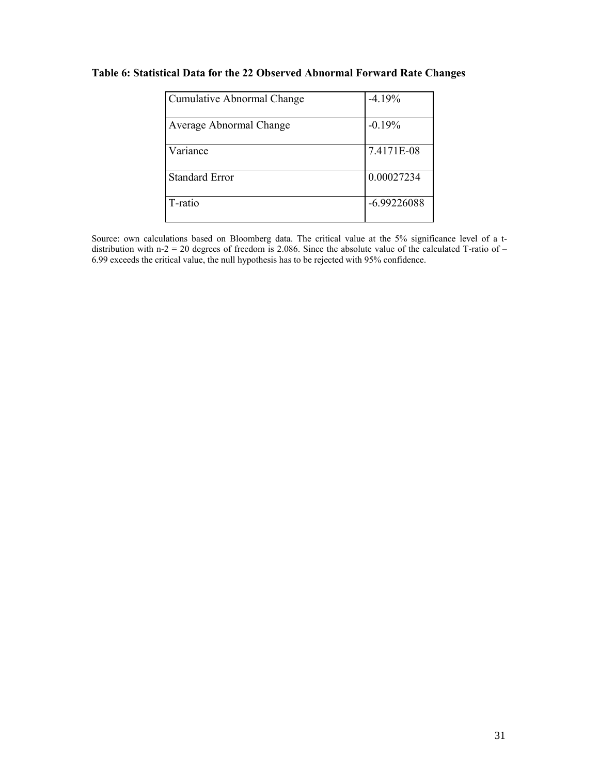#### **Table 6: Statistical Data for the 22 Observed Abnormal Forward Rate Changes**

| <b>Cumulative Abnormal Change</b> | $-4.19%$      |
|-----------------------------------|---------------|
| Average Abnormal Change           | $-0.19%$      |
| Variance                          | 7.4171E-08    |
| <b>Standard Error</b>             | 0.00027234    |
| T-ratio                           | $-6.99226088$ |

Source: own calculations based on Bloomberg data. The critical value at the 5% significance level of a tdistribution with n-2 = 20 degrees of freedom is 2.086. Since the absolute value of the calculated T-ratio of – 6.99 exceeds the critical value, the null hypothesis has to be rejected with 95% confidence.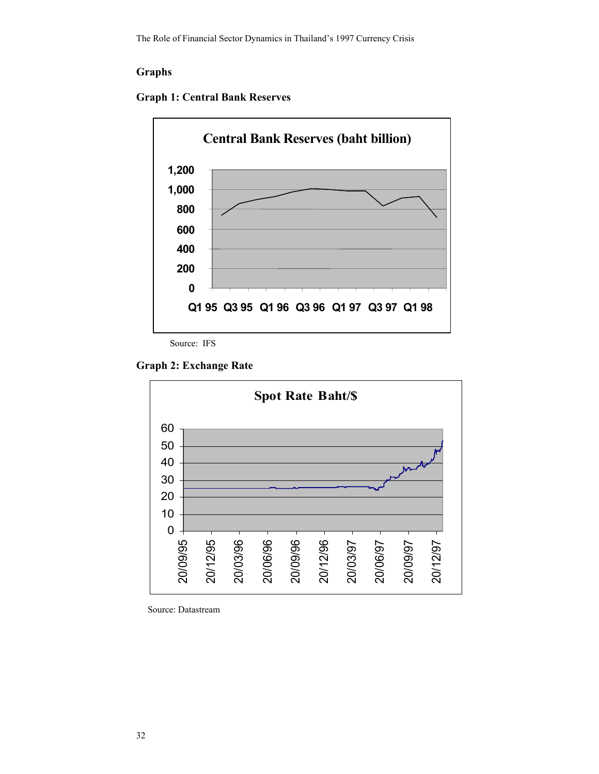#### **Graphs**





Source: IFS

**Graph 2: Exchange Rate** 



Source: Datastream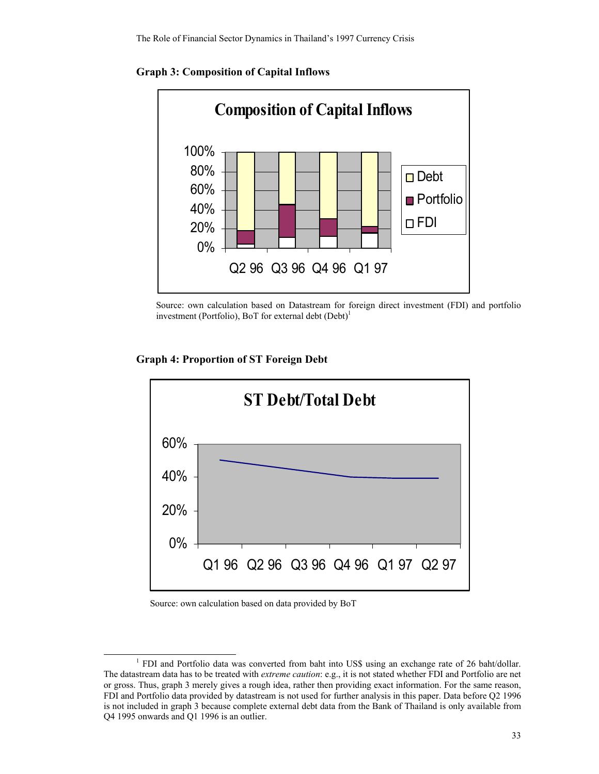

**Graph 3: Composition of Capital Inflows** 



#### **Graph 4: Proportion of ST Foreign Debt**



#### Source: own calculation based on data provided by BoT

<sup>&</sup>lt;u>1</u> <sup>1</sup> FDI and Portfolio data was converted from baht into US\$ using an exchange rate of 26 baht/dollar. The datastream data has to be treated with *extreme caution*: e.g., it is not stated whether FDI and Portfolio are net or gross. Thus, graph 3 merely gives a rough idea, rather then providing exact information. For the same reason, FDI and Portfolio data provided by datastream is not used for further analysis in this paper. Data before Q2 1996 is not included in graph 3 because complete external debt data from the Bank of Thailand is only available from Q4 1995 onwards and Q1 1996 is an outlier.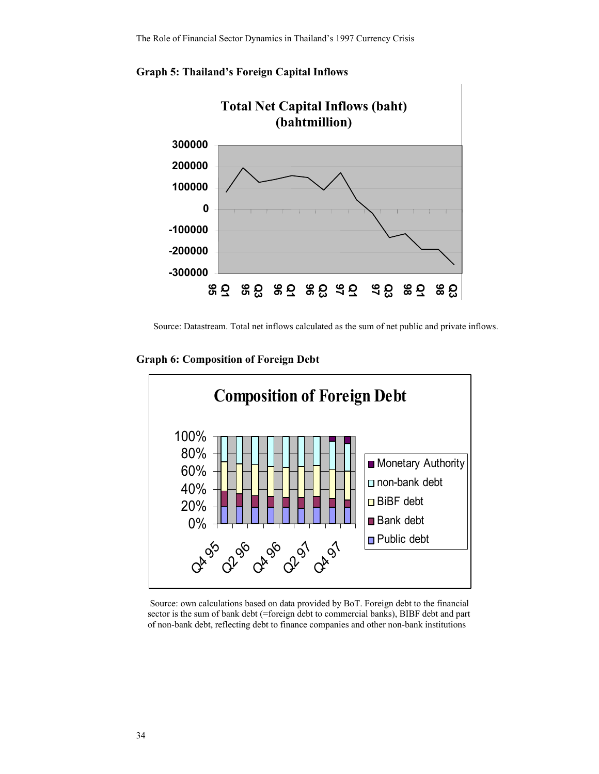

**Graph 5: Thailand's Foreign Capital Inflows** 

Source: Datastream. Total net inflows calculated as the sum of net public and private inflows.

**Graph 6: Composition of Foreign Debt** 



 Source: own calculations based on data provided by BoT. Foreign debt to the financial sector is the sum of bank debt (=foreign debt to commercial banks), BIBF debt and part of non-bank debt, reflecting debt to finance companies and other non-bank institutions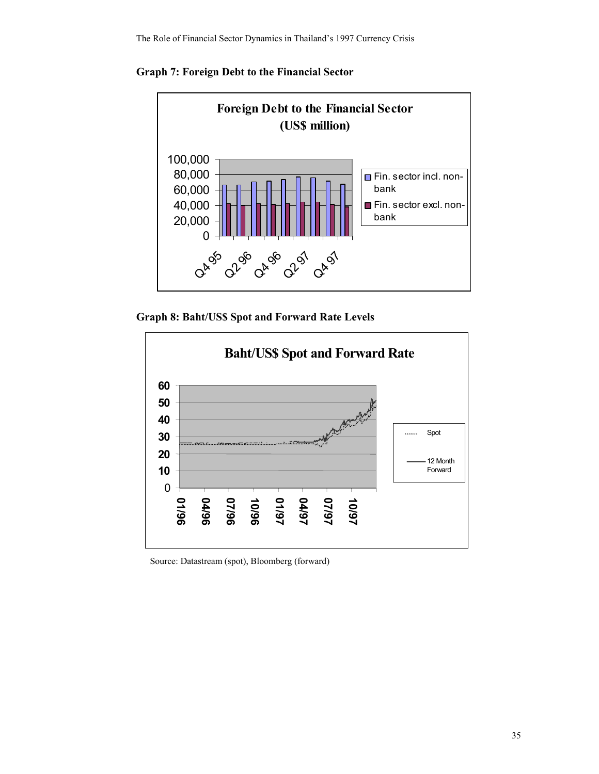



**Graph 8: Baht/US\$ Spot and Forward Rate Levels** 



Source: Datastream (spot), Bloomberg (forward)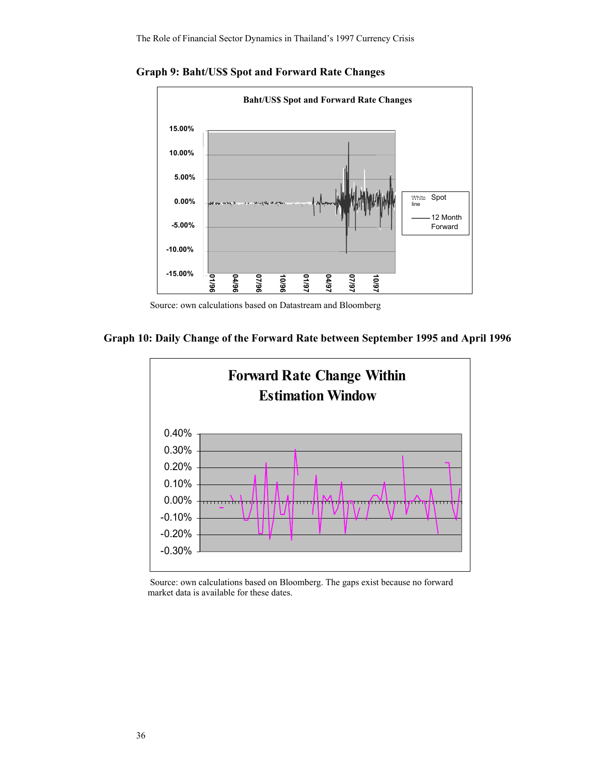

**Graph 9: Baht/US\$ Spot and Forward Rate Changes** 

Source: own calculations based on Datastream and Bloomberg





 Source: own calculations based on Bloomberg. The gaps exist because no forward market data is available for these dates.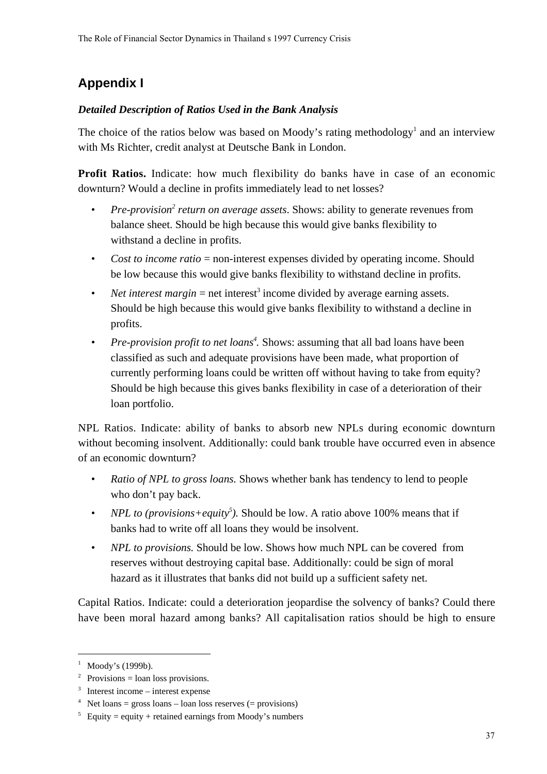# **Appendix I**

### *Detailed Description of Ratios Used in the Bank Analysis*

The choice of the ratios below was based on Moody's rating methodology<sup>1</sup> and an interview with Ms Richter, credit analyst at Deutsche Bank in London.

**Profit Ratios.** Indicate: how much flexibility do banks have in case of an economic downturn? Would a decline in profits immediately lead to net losses?

- Pre-provision<sup>2</sup> return on average assets. Shows: ability to generate revenues from balance sheet. Should be high because this would give banks flexibility to withstand a decline in profits.
- *Cost to income ratio* = non-interest expenses divided by operating income. Should be low because this would give banks flexibility to withstand decline in profits.
- Net interest margin  $=$  net interest<sup>3</sup> income divided by average earning assets. Should be high because this would give banks flexibility to withstand a decline in profits.
- Pre-provision profit to net loans<sup>4</sup>. Shows: assuming that all bad loans have been classified as such and adequate provisions have been made, what proportion of currently performing loans could be written off without having to take from equity? Should be high because this gives banks flexibility in case of a deterioration of their loan portfolio.

NPL Ratios. Indicate: ability of banks to absorb new NPLs during economic downturn without becoming insolvent. Additionally: could bank trouble have occurred even in absence of an economic downturn?

- *Ratio of NPL to gross loans.* Shows whether bank has tendency to lend to people who don't pay back.
- *NPL to (provisions+equity<sup>5</sup>)*. Should be low. A ratio above 100% means that if banks had to write off all loans they would be insolvent.
- *NPL to provisions.* Should be low. Shows how much NPL can be covered from reserves without destroying capital base. Additionally: could be sign of moral hazard as it illustrates that banks did not build up a sufficient safety net.

Capital Ratios. Indicate: could a deterioration jeopardise the solvency of banks? Could there have been moral hazard among banks? All capitalisation ratios should be high to ensure

j

 $<sup>1</sup>$  Moody's (1999b).</sup>

 $2^{\circ}$  Provisions = loan loss provisions.

 $3$  Interest income – interest expense

 $4$  Net loans = gross loans – loan loss reserves (= provisions)

 $5$  Equity = equity + retained earnings from Moody's numbers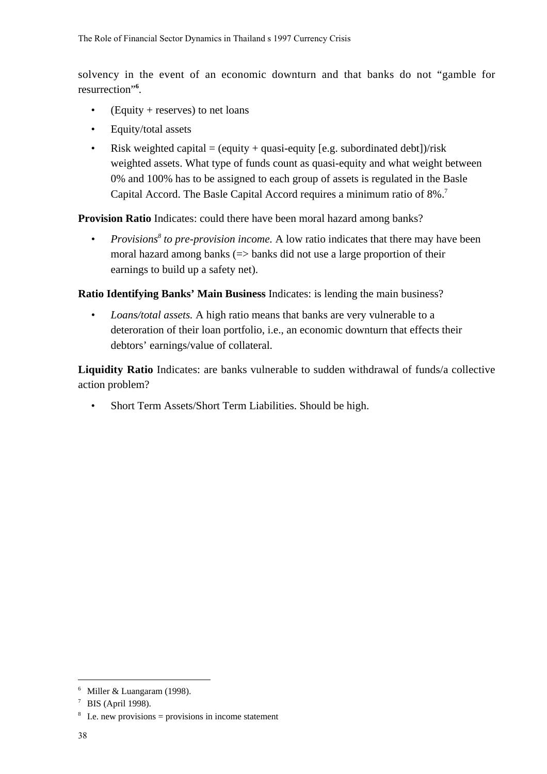solvency in the event of an economic downturn and that banks do not "gamble for resurrection"**<sup>6</sup>** .

- (Equity + reserves) to net loans
- Equity/total assets
- Risk weighted capital  $=$  (equity  $+$  quasi-equity [e.g. subordinated debt])/risk weighted assets. What type of funds count as quasi-equity and what weight between 0% and 100% has to be assigned to each group of assets is regulated in the Basle Capital Accord. The Basle Capital Accord requires a minimum ratio of 8%.<sup>7</sup>

**Provision Ratio** Indicates: could there have been moral hazard among banks?

• Provisions<sup>8</sup> to pre-provision income. A low ratio indicates that there may have been moral hazard among banks  $\approx$  banks did not use a large proportion of their earnings to build up a safety net).

**Ratio Identifying Banks' Main Business** Indicates: is lending the main business?

*• Loans/total assets.* A high ratio means that banks are very vulnerable to a deteroration of their loan portfolio, i.e., an economic downturn that effects their debtors' earnings/value of collateral.

**Liquidity Ratio** Indicates: are banks vulnerable to sudden withdrawal of funds/a collective action problem?

• Short Term Assets/Short Term Liabilities. Should be high.

j

<sup>&</sup>lt;sup>6</sup> Miller & Luangaram (1998).

<sup>7</sup> BIS (April 1998).

 $8\text{ I.e.}$  new provisions = provisions in income statement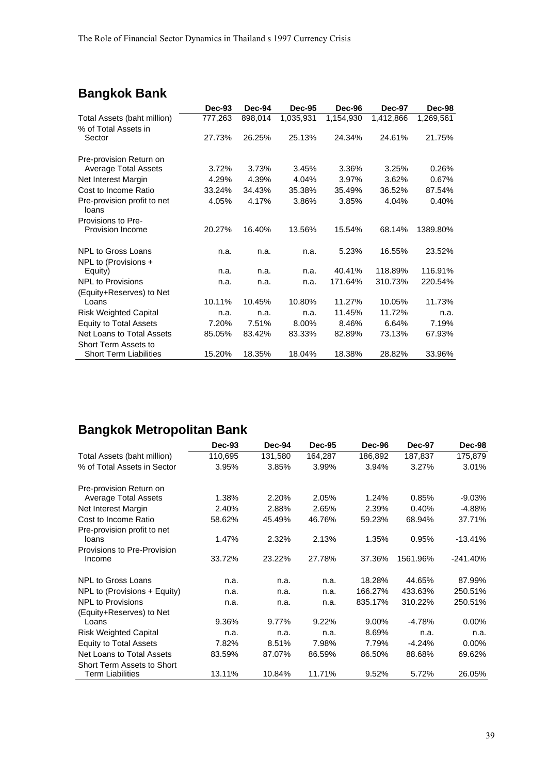## **Bangkok Bank**

|                                      | Dec-93  | Dec-94  | <b>Dec-95</b> | Dec-96    | <b>Dec-97</b> | Dec-98    |
|--------------------------------------|---------|---------|---------------|-----------|---------------|-----------|
| Total Assets (baht million)          | 777,263 | 898,014 | 1,035,931     | 1,154,930 | 1,412,866     | 1,269,561 |
| % of Total Assets in                 |         |         |               |           |               |           |
| Sector                               | 27.73%  | 26.25%  | 25.13%        | 24.34%    | 24.61%        | 21.75%    |
| Pre-provision Return on              |         |         |               |           |               |           |
| <b>Average Total Assets</b>          | 3.72%   | 3.73%   | 3.45%         | 3.36%     | 3.25%         | 0.26%     |
| Net Interest Margin                  | 4.29%   | 4.39%   | 4.04%         | 3.97%     | 3.62%         | 0.67%     |
| Cost to Income Ratio                 | 33.24%  | 34.43%  | 35.38%        | 35.49%    | 36.52%        | 87.54%    |
| Pre-provision profit to net<br>loans | 4.05%   | 4.17%   | 3.86%         | 3.85%     | 4.04%         | 0.40%     |
| Provisions to Pre-                   |         |         |               |           |               |           |
| <b>Provision Income</b>              | 20.27%  | 16.40%  | 13.56%        | 15.54%    | 68.14%        | 1389.80%  |
| <b>NPL to Gross Loans</b>            | n.a.    | n.a.    | n.a.          | 5.23%     | 16.55%        | 23.52%    |
| NPL to (Provisions +                 |         |         |               |           |               |           |
| Equity)                              | n.a.    | n.a.    | n.a.          | 40.41%    | 118.89%       | 116.91%   |
| <b>NPL to Provisions</b>             | n.a.    | n.a.    | n.a.          | 171.64%   | 310.73%       | 220.54%   |
| (Equity+Reserves) to Net             |         |         |               |           |               |           |
| Loans                                | 10.11%  | 10.45%  | 10.80%        | 11.27%    | 10.05%        | 11.73%    |
| <b>Risk Weighted Capital</b>         | n.a.    | n.a.    | n.a.          | 11.45%    | 11.72%        | n.a.      |
| <b>Equity to Total Assets</b>        | 7.20%   | 7.51%   | 8.00%         | 8.46%     | 6.64%         | 7.19%     |
| Net Loans to Total Assets            | 85.05%  | 83.42%  | 83.33%        | 82.89%    | 73.13%        | 67.93%    |
| Short Term Assets to                 |         |         |               |           |               |           |
| <b>Short Term Liabilities</b>        | 15.20%  | 18.35%  | 18.04%        | 18.38%    | 28.82%        | 33.96%    |

## **Bangkok Metropolitan Bank**

|                               | Dec-93  | Dec-94  | <b>Dec-95</b> | Dec-96  | <b>Dec-97</b> | Dec-98    |
|-------------------------------|---------|---------|---------------|---------|---------------|-----------|
| Total Assets (baht million)   | 110,695 | 131,580 | 164,287       | 186,892 | 187,837       | 175,879   |
| % of Total Assets in Sector   | 3.95%   | 3.85%   | 3.99%         | 3.94%   | 3.27%         | 3.01%     |
| Pre-provision Return on       |         |         |               |         |               |           |
| <b>Average Total Assets</b>   | 1.38%   | 2.20%   | 2.05%         | 1.24%   | 0.85%         | $-9.03%$  |
| Net Interest Margin           | 2.40%   | 2.88%   | 2.65%         | 2.39%   | 0.40%         | $-4.88%$  |
| Cost to Income Ratio          | 58.62%  | 45.49%  | 46.76%        | 59.23%  | 68.94%        | 37.71%    |
| Pre-provision profit to net   |         |         |               |         |               |           |
| loans                         | 1.47%   | 2.32%   | 2.13%         | 1.35%   | 0.95%         | $-13.41%$ |
| Provisions to Pre-Provision   |         |         |               |         |               |           |
| Income                        | 33.72%  | 23.22%  | 27.78%        | 37.36%  | 1561.96%      | -241.40%  |
| <b>NPL to Gross Loans</b>     | n.a.    | n.a.    | n.a.          | 18.28%  | 44.65%        | 87.99%    |
| NPL to (Provisions + Equity)  | n.a.    | n.a.    | n.a.          | 166.27% | 433.63%       | 250.51%   |
| <b>NPL to Provisions</b>      | n.a.    | n.a.    | n.a.          | 835.17% | 310.22%       | 250.51%   |
| (Equity+Reserves) to Net      |         |         |               |         |               |           |
| Loans                         | 9.36%   | 9.77%   | 9.22%         | 9.00%   | $-4.78%$      | $0.00\%$  |
| <b>Risk Weighted Capital</b>  | n.a.    | n.a.    | n.a.          | 8.69%   | n.a.          | n.a.      |
| <b>Equity to Total Assets</b> | 7.82%   | 8.51%   | 7.98%         | 7.79%   | $-4.24%$      | 0.00%     |
| Net Loans to Total Assets     | 83.59%  | 87.07%  | 86.59%        | 86.50%  | 88.68%        | 69.62%    |
| Short Term Assets to Short    |         |         |               |         |               |           |
| <b>Term Liabilities</b>       | 13.11%  | 10.84%  | 11.71%        | 9.52%   | 5.72%         | 26.05%    |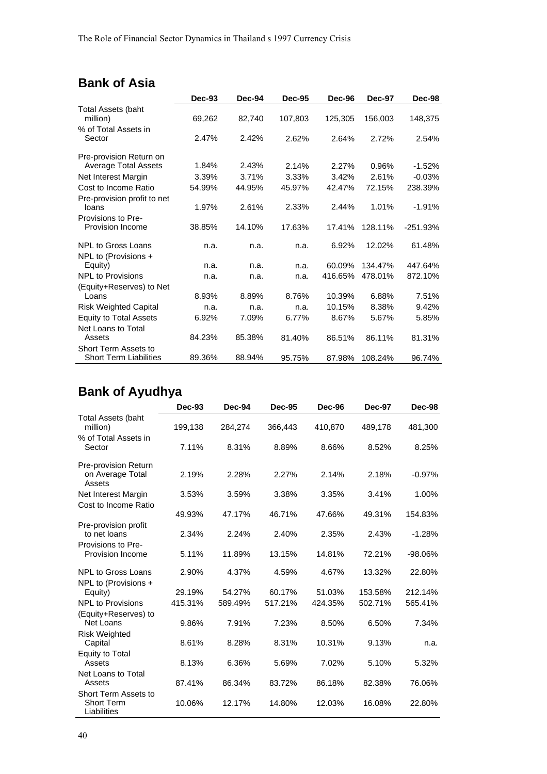## **Bank of Asia**

|                                       | Dec-93 | Dec-94 | <b>Dec-95</b> | Dec-96  | Dec-97  | <b>Dec-98</b> |
|---------------------------------------|--------|--------|---------------|---------|---------|---------------|
| <b>Total Assets (baht</b><br>million) | 69,262 | 82,740 | 107,803       | 125,305 | 156,003 | 148,375       |
| % of Total Assets in<br>Sector        | 2.47%  | 2.42%  | 2.62%         | 2.64%   | 2.72%   | 2.54%         |
|                                       |        |        |               |         |         |               |
| Pre-provision Return on               |        |        |               |         |         |               |
| <b>Average Total Assets</b>           | 1.84%  | 2.43%  | 2.14%         | 2.27%   | 0.96%   | $-1.52%$      |
| Net Interest Margin                   | 3.39%  | 3.71%  | 3.33%         | 3.42%   | 2.61%   | $-0.03%$      |
| Cost to Income Ratio                  | 54.99% | 44.95% | 45.97%        | 42.47%  | 72.15%  | 238.39%       |
| Pre-provision profit to net           |        |        |               |         |         |               |
| loans                                 | 1.97%  | 2.61%  | 2.33%         | 2.44%   | 1.01%   | $-1.91%$      |
| Provisions to Pre-                    |        |        |               |         |         |               |
| <b>Provision Income</b>               | 38.85% | 14.10% | 17.63%        | 17.41%  | 128.11% | $-251.93%$    |
| NPL to Gross Loans                    | n.a.   | n.a.   | n.a.          | 6.92%   | 12.02%  | 61.48%        |
| NPL to (Provisions +                  |        |        |               |         |         |               |
| Equity)                               | n.a.   | n.a.   | n.a.          | 60.09%  | 134.47% | 447.64%       |
| <b>NPL to Provisions</b>              | n.a.   | n.a.   | n.a.          | 416.65% | 478.01% | 872.10%       |
| (Equity+Reserves) to Net              |        |        |               |         |         |               |
| Loans                                 | 8.93%  | 8.89%  | 8.76%         | 10.39%  | 6.88%   | 7.51%         |
| <b>Risk Weighted Capital</b>          | n.a.   | n.a.   | n.a.          | 10.15%  | 8.38%   | 9.42%         |
| <b>Equity to Total Assets</b>         | 6.92%  | 7.09%  | 6.77%         | 8.67%   | 5.67%   | 5.85%         |
| Net Loans to Total                    |        |        |               |         |         |               |
| Assets                                | 84.23% | 85.38% | 81.40%        | 86.51%  | 86.11%  | 81.31%        |
| Short Term Assets to                  |        |        |               |         |         |               |
| <b>Short Term Liabilities</b>         | 89.36% | 88.94% | 95.75%        | 87.98%  | 108.24% | 96.74%        |

# **Bank of Ayudhya**

|                                                            | <b>Dec-93</b> | Dec-94  | <b>Dec-95</b> | Dec-96  | <b>Dec-97</b> | Dec-98    |
|------------------------------------------------------------|---------------|---------|---------------|---------|---------------|-----------|
| <b>Total Assets (baht</b><br>million)                      | 199,138       | 284,274 | 366,443       | 410,870 | 489,178       | 481,300   |
| % of Total Assets in<br>Sector                             | 7.11%         | 8.31%   | 8.89%         | 8.66%   | 8.52%         | 8.25%     |
| Pre-provision Return<br>on Average Total<br>Assets         | 2.19%         | 2.28%   | 2.27%         | 2.14%   | 2.18%         | $-0.97%$  |
| Net Interest Margin                                        | 3.53%         | 3.59%   | 3.38%         | 3.35%   | 3.41%         | 1.00%     |
| Cost to Income Ratio                                       | 49.93%        | 47.17%  | 46.71%        | 47.66%  | 49.31%        | 154.83%   |
| Pre-provision profit<br>to net loans<br>Provisions to Pre- | 2.34%         | 2.24%   | 2.40%         | 2.35%   | 2.43%         | $-1.28%$  |
| Provision Income                                           | 5.11%         | 11.89%  | 13.15%        | 14.81%  | 72.21%        | $-98.06%$ |
| <b>NPL to Gross Loans</b><br>NPL to (Provisions +          | 2.90%         | 4.37%   | 4.59%         | 4.67%   | 13.32%        | 22.80%    |
| Equity)                                                    | 29.19%        | 54.27%  | 60.17%        | 51.03%  | 153.58%       | 212.14%   |
| <b>NPL to Provisions</b>                                   | 415.31%       | 589.49% | 517.21%       | 424.35% | 502.71%       | 565.41%   |
| (Equity+Reserves) to<br>Net Loans                          | 9.86%         | 7.91%   | 7.23%         | 8.50%   | 6.50%         | 7.34%     |
| <b>Risk Weighted</b><br>Capital                            | 8.61%         | 8.28%   | 8.31%         | 10.31%  | 9.13%         | n.a.      |
| Equity to Total<br>Assets                                  | 8.13%         | 6.36%   | 5.69%         | 7.02%   | 5.10%         | 5.32%     |
| Net Loans to Total<br>Assets                               | 87.41%        | 86.34%  | 83.72%        | 86.18%  | 82.38%        | 76.06%    |
| Short Term Assets to<br><b>Short Term</b><br>Liabilities   | 10.06%        | 12.17%  | 14.80%        | 12.03%  | 16.08%        | 22.80%    |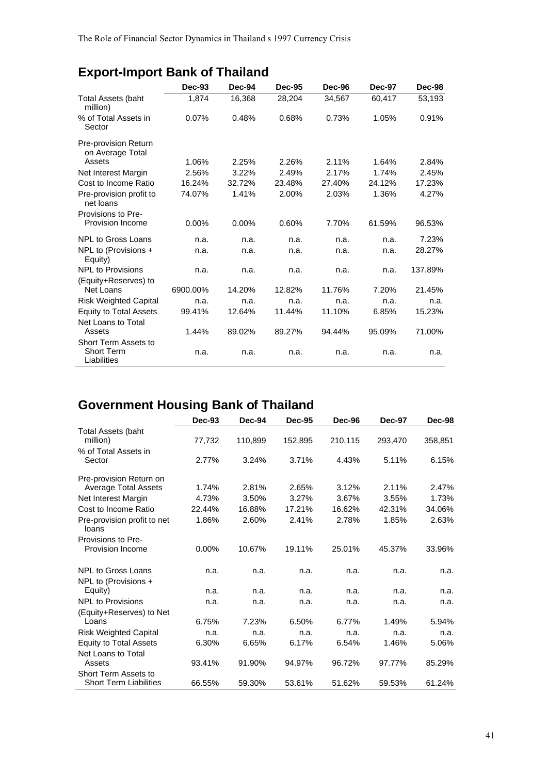|                                                   | Dec-93   | Dec-94 | <b>Dec-95</b> | <b>Dec-96</b> | Dec-97 | Dec-98  |
|---------------------------------------------------|----------|--------|---------------|---------------|--------|---------|
| <b>Total Assets (baht</b><br>million)             | 1,874    | 16,368 | 28,204        | 34,567        | 60,417 | 53,193  |
| % of Total Assets in<br>Sector                    | 0.07%    | 0.48%  | 0.68%         | 0.73%         | 1.05%  | 0.91%   |
| Pre-provision Return<br>on Average Total          |          |        |               |               |        |         |
| Assets                                            | 1.06%    | 2.25%  | 2.26%         | 2.11%         | 1.64%  | 2.84%   |
| Net Interest Margin                               | 2.56%    | 3.22%  | 2.49%         | 2.17%         | 1.74%  | 2.45%   |
| Cost to Income Ratio                              | 16.24%   | 32.72% | 23.48%        | 27.40%        | 24.12% | 17.23%  |
| Pre-provision profit to<br>net loans              | 74.07%   | 1.41%  | 2.00%         | 2.03%         | 1.36%  | 4.27%   |
| Provisions to Pre-                                |          |        |               |               |        |         |
| Provision Income                                  | $0.00\%$ | 0.00%  | 0.60%         | 7.70%         | 61.59% | 96.53%  |
| <b>NPL to Gross Loans</b>                         | n.a.     | n.a.   | n.a.          | n.a.          | n.a.   | 7.23%   |
| NPL to (Provisions +<br>Equity)                   | n.a.     | n.a.   | n.a.          | n.a.          | n.a.   | 28.27%  |
| <b>NPL to Provisions</b><br>(Equity+Reserves) to  | n.a.     | n.a.   | n.a.          | n.a.          | n.a.   | 137.89% |
| Net Loans                                         | 6900.00% | 14.20% | 12.82%        | 11.76%        | 7.20%  | 21.45%  |
| <b>Risk Weighted Capital</b>                      | n.a.     | n.a.   | n.a.          | n.a.          | n.a.   | n.a.    |
| <b>Equity to Total Assets</b>                     | 99.41%   | 12.64% | 11.44%        | 11.10%        | 6.85%  | 15.23%  |
| Net Loans to Total<br>Assets                      | 1.44%    | 89.02% | 89.27%        | 94.44%        | 95.09% | 71.00%  |
| Short Term Assets to<br>Short Term<br>Liabilities | n.a.     | n.a.   | n.a.          | n.a.          | n.a.   | n.a.    |

# **Export-Import Bank of Thailand**

# **Government Housing Bank of Thailand**

|                                      | $Dec-93$ | Dec-94  | <b>Dec-95</b> | Dec-96  | <b>Dec-97</b> | Dec-98  |
|--------------------------------------|----------|---------|---------------|---------|---------------|---------|
| <b>Total Assets (baht</b>            |          |         |               |         |               |         |
| million)                             | 77,732   | 110,899 | 152,895       | 210,115 | 293,470       | 358,851 |
| % of Total Assets in                 |          |         |               |         |               |         |
| Sector                               | 2.77%    | 3.24%   | 3.71%         | 4.43%   | 5.11%         | 6.15%   |
| Pre-provision Return on              |          |         |               |         |               |         |
| <b>Average Total Assets</b>          | 1.74%    | 2.81%   | 2.65%         | 3.12%   | 2.11%         | 2.47%   |
| Net Interest Margin                  | 4.73%    | 3.50%   | 3.27%         | 3.67%   | 3.55%         | 1.73%   |
| Cost to Income Ratio                 | 22.44%   | 16.88%  | 17.21%        | 16.62%  | 42.31%        | 34.06%  |
| Pre-provision profit to net<br>loans | 1.86%    | 2.60%   | 2.41%         | 2.78%   | 1.85%         | 2.63%   |
| Provisions to Pre-                   |          |         |               |         |               |         |
| Provision Income                     | $0.00\%$ | 10.67%  | 19.11%        | 25.01%  | 45.37%        | 33.96%  |
| <b>NPL to Gross Loans</b>            | n.a.     | n.a.    | n.a.          | n.a.    | n.a.          | n.a.    |
| NPL to (Provisions +                 |          |         |               |         |               |         |
| Equity)                              | n.a.     | n.a.    | n.a.          | n.a.    | n.a.          | n.a.    |
| <b>NPL to Provisions</b>             | n.a.     | n.a.    | n.a.          | n.a.    | n.a.          | n.a.    |
| (Equity+Reserves) to Net             |          |         |               |         |               |         |
| Loans                                | 6.75%    | 7.23%   | 6.50%         | 6.77%   | 1.49%         | 5.94%   |
| <b>Risk Weighted Capital</b>         | n.a.     | n.a.    | n.a.          | n.a.    | n.a.          | n.a.    |
| <b>Equity to Total Assets</b>        | 6.30%    | 6.65%   | 6.17%         | 6.54%   | 1.46%         | 5.06%   |
| Net Loans to Total                   |          |         |               |         |               |         |
| Assets                               | 93.41%   | 91.90%  | 94.97%        | 96.72%  | 97.77%        | 85.29%  |
| Short Term Assets to                 |          |         |               |         |               |         |
| <b>Short Term Liabilities</b>        | 66.55%   | 59.30%  | 53.61%        | 51.62%  | 59.53%        | 61.24%  |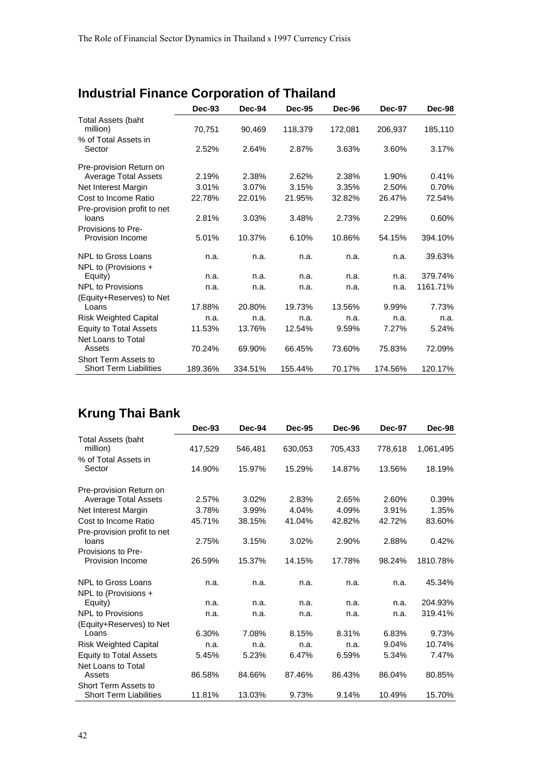# **Industrial Finance Corporation of Thailand**

|                               | $Dec-93$ | Dec-94  | <b>Dec-95</b> | Dec-96  | Dec-97  | Dec-98   |
|-------------------------------|----------|---------|---------------|---------|---------|----------|
| <b>Total Assets (baht</b>     |          |         |               |         |         |          |
| million)                      | 70,751   | 90.469  | 118.379       | 172,081 | 206,937 | 185,110  |
| % of Total Assets in          |          |         |               |         |         |          |
| Sector                        | 2.52%    | 2.64%   | 2.87%         | 3.63%   | 3.60%   | 3.17%    |
| Pre-provision Return on       |          |         |               |         |         |          |
| <b>Average Total Assets</b>   | 2.19%    | 2.38%   | 2.62%         | 2.38%   | 1.90%   | 0.41%    |
| Net Interest Margin           | 3.01%    | 3.07%   | 3.15%         | 3.35%   | 2.50%   | 0.70%    |
| Cost to Income Ratio          | 22.78%   | 22.01%  | 21.95%        | 32.82%  | 26.47%  | 72.54%   |
| Pre-provision profit to net   |          |         |               |         |         |          |
| loans                         | 2.81%    | 3.03%   | 3.48%         | 2.73%   | 2.29%   | 0.60%    |
| Provisions to Pre-            |          |         |               |         |         |          |
| Provision Income              | 5.01%    | 10.37%  | 6.10%         | 10.86%  | 54.15%  | 394.10%  |
| <b>NPL to Gross Loans</b>     | n.a.     | n.a.    | n.a.          | n.a.    | n.a.    | 39.63%   |
| NPL to (Provisions +          |          |         |               |         |         |          |
| Equity)                       | n.a.     | n.a.    | n.a.          | n.a.    | n.a.    | 379.74%  |
| <b>NPL to Provisions</b>      | n.a.     | n.a.    | n.a.          | n.a.    | n.a.    | 1161.71% |
| (Equity+Reserves) to Net      |          |         |               |         |         |          |
| Loans                         | 17.88%   | 20.80%  | 19.73%        | 13.56%  | 9.99%   | 7.73%    |
| <b>Risk Weighted Capital</b>  | n.a.     | n.a.    | n.a.          | n.a.    | n.a.    | n.a.     |
| <b>Equity to Total Assets</b> | 11.53%   | 13.76%  | 12.54%        | 9.59%   | 7.27%   | 5.24%    |
| Net Loans to Total            |          |         |               |         |         |          |
| Assets                        | 70.24%   | 69.90%  | 66.45%        | 73.60%  | 75.83%  | 72.09%   |
| Short Term Assets to          |          |         |               |         |         |          |
| <b>Short Term Liabilities</b> | 189.36%  | 334.51% | 155.44%       | 70.17%  | 174.56% | 120.17%  |

# **Krung Thai Bank**

|                                                       | $Dec-93$ | Dec-94  | <b>Dec-95</b> | Dec-96  | <b>Dec-97</b> | Dec-98    |
|-------------------------------------------------------|----------|---------|---------------|---------|---------------|-----------|
| <b>Total Assets (baht</b><br>million)                 |          |         |               |         |               |           |
|                                                       | 417,529  | 546,481 | 630,053       | 705,433 | 778,618       | 1,061,495 |
| % of Total Assets in<br>Sector                        | 14.90%   | 15.97%  | 15.29%        | 14.87%  | 13.56%        | 18.19%    |
| Pre-provision Return on                               |          |         |               |         |               |           |
| <b>Average Total Assets</b>                           | 2.57%    | 3.02%   | 2.83%         | 2.65%   | 2.60%         | 0.39%     |
| Net Interest Margin                                   | 3.78%    | 3.99%   | 4.04%         | 4.09%   | 3.91%         | 1.35%     |
| Cost to Income Ratio                                  | 45.71%   | 38.15%  | 41.04%        | 42.82%  | 42.72%        | 83.60%    |
| Pre-provision profit to net                           |          |         |               |         |               |           |
| loans                                                 | 2.75%    | 3.15%   | 3.02%         | 2.90%   | 2.88%         | 0.42%     |
| Provisions to Pre-                                    |          |         |               |         |               |           |
| Provision Income                                      | 26.59%   | 15.37%  | 14.15%        | 17.78%  | 98.24%        | 1810.78%  |
| <b>NPL to Gross Loans</b>                             | n.a.     | n.a.    | n.a.          | n.a.    | n.a.          | 45.34%    |
| NPL to (Provisions +                                  |          |         |               |         |               |           |
| Equity)                                               | n.a.     | n.a.    | n.a.          | n.a.    | n.a.          | 204.93%   |
| <b>NPL to Provisions</b>                              | n.a.     | n.a.    | n.a.          | n.a.    | n.a.          | 319.41%   |
| (Equity+Reserves) to Net                              |          |         |               |         |               |           |
| Loans                                                 | 6.30%    | 7.08%   | 8.15%         | 8.31%   | 6.83%         | 9.73%     |
| <b>Risk Weighted Capital</b>                          | n.a.     | n.a.    | n.a.          | n.a.    | 9.04%         | 10.74%    |
| <b>Equity to Total Assets</b>                         | 5.45%    | 5.23%   | 6.47%         | 6.59%   | 5.34%         | 7.47%     |
| Net Loans to Total                                    |          |         |               |         |               |           |
| Assets                                                | 86.58%   | 84.66%  | 87.46%        | 86.43%  | 86.04%        | 80.85%    |
| Short Term Assets to<br><b>Short Term Liabilities</b> | 11.81%   | 13.03%  | 9.73%         | 9.14%   | 10.49%        | 15.70%    |
|                                                       |          |         |               |         |               |           |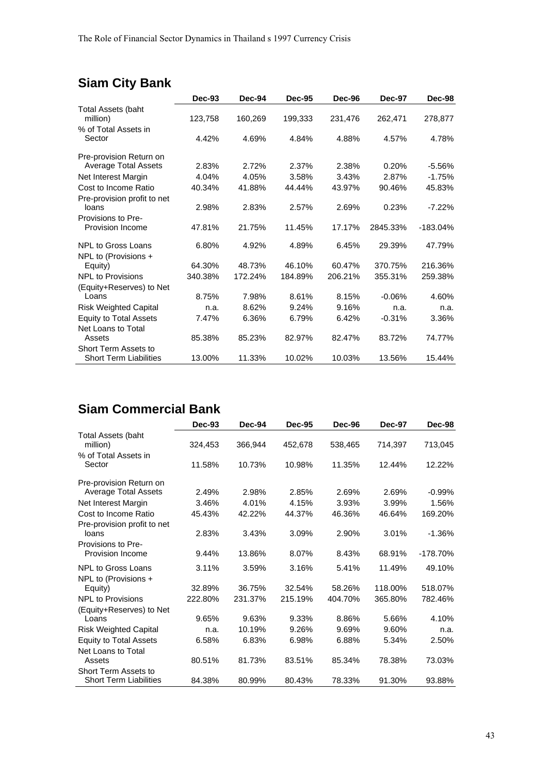# **Siam City Bank**

|                                                       | Dec-93  | Dec-94  | <b>Dec-95</b> | Dec-96  | <b>Dec-97</b> | Dec-98     |
|-------------------------------------------------------|---------|---------|---------------|---------|---------------|------------|
| <b>Total Assets (baht</b><br>million)                 | 123,758 | 160,269 | 199,333       | 231,476 | 262,471       | 278,877    |
| % of Total Assets in<br>Sector                        | 4.42%   | 4.69%   | 4.84%         | 4.88%   | 4.57%         | 4.78%      |
| Pre-provision Return on                               |         |         |               |         |               |            |
| <b>Average Total Assets</b>                           | 2.83%   | 2.72%   | 2.37%         | 2.38%   | 0.20%         | $-5.56%$   |
| Net Interest Margin                                   | 4.04%   | 4.05%   | 3.58%         | 3.43%   | 2.87%         | $-1.75%$   |
| Cost to Income Ratio                                  | 40.34%  | 41.88%  | 44.44%        | 43.97%  | 90.46%        | 45.83%     |
| Pre-provision profit to net<br>loans                  | 2.98%   | 2.83%   | 2.57%         | 2.69%   | 0.23%         | $-7.22%$   |
| Provisions to Pre-<br>Provision Income                | 47.81%  | 21.75%  | 11.45%        | 17.17%  | 2845.33%      | $-183.04%$ |
| <b>NPL to Gross Loans</b>                             | 6.80%   | 4.92%   | 4.89%         | 6.45%   | 29.39%        | 47.79%     |
| NPL to (Provisions +<br>Equity)                       | 64.30%  | 48.73%  | 46.10%        | 60.47%  | 370.75%       | 216.36%    |
| <b>NPL to Provisions</b>                              | 340.38% | 172.24% | 184.89%       | 206.21% | 355.31%       | 259.38%    |
| (Equity+Reserves) to Net                              |         |         |               |         |               |            |
| Loans                                                 | 8.75%   | 7.98%   | 8.61%         | 8.15%   | $-0.06%$      | 4.60%      |
| <b>Risk Weighted Capital</b>                          | n.a.    | 8.62%   | 9.24%         | 9.16%   | n.a.          | n.a.       |
| <b>Equity to Total Assets</b><br>Net Loans to Total   | 7.47%   | 6.36%   | 6.79%         | 6.42%   | $-0.31%$      | 3.36%      |
| Assets                                                | 85.38%  | 85.23%  | 82.97%        | 82.47%  | 83.72%        | 74.77%     |
| Short Term Assets to<br><b>Short Term Liabilities</b> | 13.00%  | 11.33%  | 10.02%        | 10.03%  | 13.56%        | 15.44%     |

## **Siam Commercial Bank**

| <b>Dec-93</b> | <b>Dec-94</b>                      | <b>Dec-95</b>                      | <b>Dec-96</b>                      | <b>Dec-97</b>                      | Dec-98                              |
|---------------|------------------------------------|------------------------------------|------------------------------------|------------------------------------|-------------------------------------|
| 324,453       | 366,944                            | 452,678                            | 538,465                            | 714,397                            | 713,045                             |
| 11.58%        | 10.73%                             | 10.98%                             | 11.35%                             | 12.44%                             | 12.22%                              |
|               |                                    |                                    |                                    |                                    |                                     |
| 2.49%         | 2.98%                              | 2.85%                              | 2.69%                              | 2.69%                              | $-0.99\%$                           |
| 3.46%         | 4.01%                              | 4.15%                              | 3.93%                              | 3.99%                              | 1.56%                               |
| 45.43%        | 42.22%                             | 44.37%                             | 46.36%                             | 46.64%                             | 169.20%                             |
|               |                                    |                                    |                                    |                                    |                                     |
|               |                                    |                                    |                                    |                                    | $-1.36%$                            |
| 9.44%         | 13.86%                             | 8.07%                              | 8.43%                              | 68.91%                             | $-178.70%$                          |
| 3.11%         | 3.59%                              | 3.16%                              | 5.41%                              | 11.49%                             | 49.10%                              |
|               |                                    |                                    |                                    |                                    |                                     |
|               |                                    |                                    |                                    |                                    | 518.07%                             |
| 222.80%       | 231.37%                            | 215.19%                            | 404.70%                            | 365.80%                            | 782.46%                             |
|               |                                    |                                    |                                    |                                    |                                     |
|               |                                    |                                    |                                    |                                    | 4.10%                               |
| n.a.          | 10.19%                             | 9.26%                              | 9.69%                              | 9.60%                              | n.a.                                |
| 6.58%         | 6.83%                              | 6.98%                              | 6.88%                              | 5.34%                              | 2.50%                               |
|               |                                    |                                    |                                    |                                    |                                     |
| 80.51%        | 81.73%                             | 83.51%                             | 85.34%                             | 78.38%                             | 73.03%                              |
|               |                                    |                                    |                                    |                                    | 93.88%                              |
|               | 2.83%<br>32.89%<br>9.65%<br>84.38% | 3.43%<br>36.75%<br>9.63%<br>80.99% | 3.09%<br>32.54%<br>9.33%<br>80.43% | 2.90%<br>58.26%<br>8.86%<br>78.33% | 3.01%<br>118.00%<br>5.66%<br>91.30% |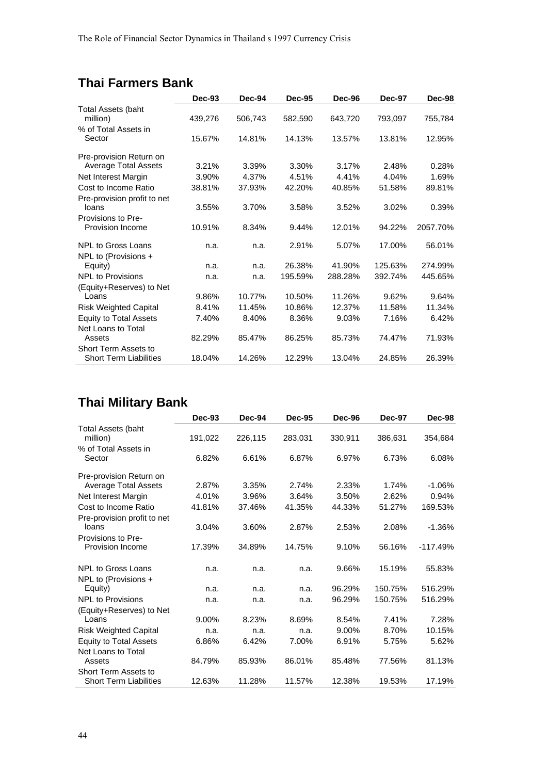## **Thai Farmers Bank**

|                                       | Dec-93  | Dec-94  | <b>Dec-95</b> | Dec-96  | Dec-97  | Dec-98   |
|---------------------------------------|---------|---------|---------------|---------|---------|----------|
| <b>Total Assets (baht</b><br>million) | 439,276 | 506,743 | 582,590       | 643,720 | 793,097 | 755,784  |
| % of Total Assets in                  |         |         |               |         |         |          |
| Sector                                | 15.67%  | 14.81%  | 14.13%        | 13.57%  | 13.81%  | 12.95%   |
| Pre-provision Return on               |         |         |               |         |         |          |
| <b>Average Total Assets</b>           | 3.21%   | 3.39%   | 3.30%         | 3.17%   | 2.48%   | 0.28%    |
| Net Interest Margin                   | 3.90%   | 4.37%   | 4.51%         | 4.41%   | 4.04%   | 1.69%    |
| Cost to Income Ratio                  | 38.81%  | 37.93%  | 42.20%        | 40.85%  | 51.58%  | 89.81%   |
| Pre-provision profit to net           |         |         |               |         |         |          |
| loans                                 | 3.55%   | 3.70%   | 3.58%         | 3.52%   | 3.02%   | 0.39%    |
| Provisions to Pre-                    |         |         |               |         |         |          |
| <b>Provision Income</b>               | 10.91%  | 8.34%   | 9.44%         | 12.01%  | 94.22%  | 2057.70% |
| NPL to Gross Loans                    | n.a.    | n.a.    | 2.91%         | 5.07%   | 17.00%  | 56.01%   |
| NPL to (Provisions +                  |         |         |               |         |         |          |
| Equity)                               | n.a.    | n.a.    | 26.38%        | 41.90%  | 125.63% | 274.99%  |
| <b>NPL to Provisions</b>              | n.a.    | n.a.    | 195.59%       | 288.28% | 392.74% | 445.65%  |
| (Equity+Reserves) to Net              |         |         |               |         |         |          |
| Loans                                 | 9.86%   | 10.77%  | 10.50%        | 11.26%  | 9.62%   | 9.64%    |
| <b>Risk Weighted Capital</b>          | 8.41%   | 11.45%  | 10.86%        | 12.37%  | 11.58%  | 11.34%   |
| <b>Equity to Total Assets</b>         | 7.40%   | 8.40%   | 8.36%         | 9.03%   | 7.16%   | 6.42%    |
| Net Loans to Total                    |         |         |               |         |         |          |
| Assets                                | 82.29%  | 85.47%  | 86.25%        | 85.73%  | 74.47%  | 71.93%   |
| Short Term Assets to                  |         |         |               |         |         |          |
| <b>Short Term Liabilities</b>         | 18.04%  | 14.26%  | 12.29%        | 13.04%  | 24.85%  | 26.39%   |

# **Thai Military Bank**

|                                                       | Dec-93   | Dec-94  | <b>Dec-95</b> | Dec-96  | <b>Dec-97</b> | Dec-98     |
|-------------------------------------------------------|----------|---------|---------------|---------|---------------|------------|
| <b>Total Assets (baht</b><br>million)                 | 191,022  | 226,115 | 283,031       | 330,911 | 386,631       | 354,684    |
| % of Total Assets in<br>Sector                        | 6.82%    | 6.61%   | 6.87%         | 6.97%   | 6.73%         | 6.08%      |
| Pre-provision Return on                               |          |         |               |         |               |            |
| <b>Average Total Assets</b>                           | 2.87%    | 3.35%   | 2.74%         | 2.33%   | 1.74%         | $-1.06%$   |
| Net Interest Margin                                   | 4.01%    | 3.96%   | 3.64%         | 3.50%   | 2.62%         | 0.94%      |
| Cost to Income Ratio                                  | 41.81%   | 37.46%  | 41.35%        | 44.33%  | 51.27%        | 169.53%    |
| Pre-provision profit to net                           |          |         |               |         |               |            |
| loans                                                 | 3.04%    | 3.60%   | 2.87%         | 2.53%   | 2.08%         | $-1.36%$   |
| Provisions to Pre-                                    |          |         |               |         |               |            |
| Provision Income                                      | 17.39%   | 34.89%  | 14.75%        | 9.10%   | 56.16%        | $-117.49%$ |
| NPL to Gross Loans                                    | n.a.     | n.a.    | n.a.          | 9.66%   | 15.19%        | 55.83%     |
| NPL to (Provisions +                                  |          |         |               |         |               |            |
| Equity)                                               | n.a.     | n.a.    | n.a.          | 96.29%  | 150.75%       | 516.29%    |
| <b>NPL to Provisions</b>                              | n.a.     | n.a.    | n.a.          | 96.29%  | 150.75%       | 516.29%    |
| (Equity+Reserves) to Net                              |          |         |               |         |               |            |
| Loans                                                 | $9.00\%$ | 8.23%   | 8.69%         | 8.54%   | 7.41%         | 7.28%      |
| <b>Risk Weighted Capital</b>                          | n.a.     | n.a.    | n.a.          | 9.00%   | 8.70%         | 10.15%     |
| <b>Equity to Total Assets</b>                         | 6.86%    | 6.42%   | 7.00%         | 6.91%   | 5.75%         | 5.62%      |
| Net Loans to Total                                    |          |         |               |         |               |            |
| Assets                                                | 84.79%   | 85.93%  | 86.01%        | 85.48%  | 77.56%        | 81.13%     |
| Short Term Assets to<br><b>Short Term Liabilities</b> | 12.63%   | 11.28%  | 11.57%        | 12.38%  | 19.53%        | 17.19%     |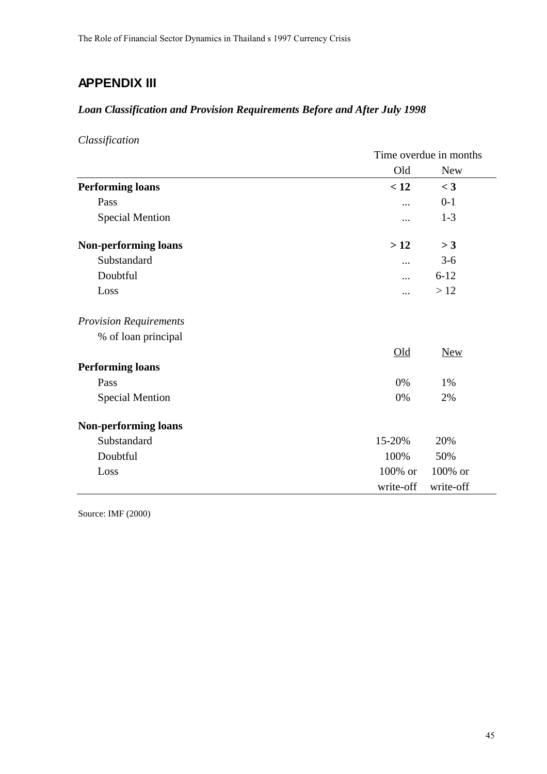## **APPENDIX III**

### *Loan Classification and Provision Requirements Before and After July 1998*

*Classification*

|                               | Time overdue in months |            |  |
|-------------------------------|------------------------|------------|--|
|                               | Old                    | <b>New</b> |  |
| <b>Performing loans</b>       | < 12                   | $<$ 3      |  |
| Pass                          |                        | $0-1$      |  |
| <b>Special Mention</b>        |                        | $1-3$      |  |
| <b>Non-performing loans</b>   | >12                    | >3         |  |
| Substandard                   |                        | $3 - 6$    |  |
| Doubtful                      | .                      | $6 - 12$   |  |
| Loss                          |                        | >12        |  |
| <b>Provision Requirements</b> |                        |            |  |
| % of loan principal           |                        |            |  |
|                               | $Old$                  | <b>New</b> |  |
| <b>Performing loans</b>       |                        |            |  |
| Pass                          | 0%                     | 1%         |  |
| <b>Special Mention</b>        | 0%                     | 2%         |  |
| <b>Non-performing loans</b>   |                        |            |  |
| Substandard                   | 15-20%                 | 20%        |  |
| Doubtful                      | 100%                   | 50%        |  |
| Loss                          | 100% or                | 100% or    |  |
|                               | write-off              | write-off  |  |

Source: IMF (2000)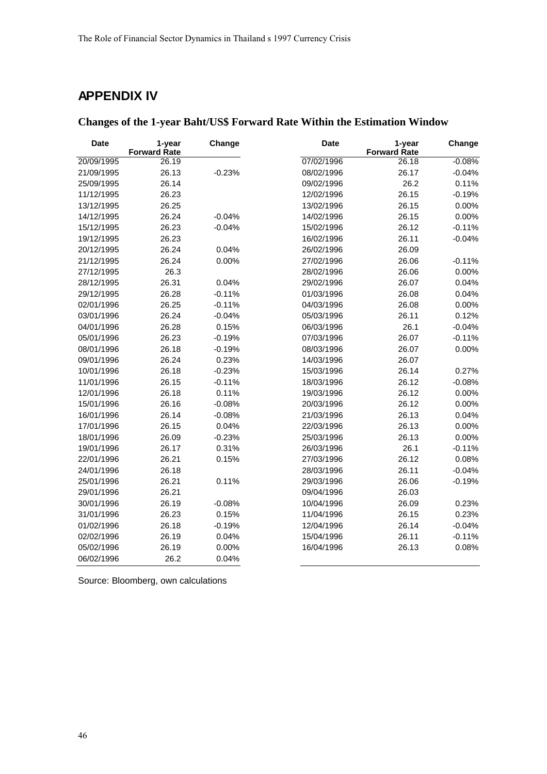## **APPENDIX IV**

| <b>Changes of the 1-year Baht/US\$ Forward Rate Within the Estimation Window</b> |  |
|----------------------------------------------------------------------------------|--|
|----------------------------------------------------------------------------------|--|

| <b>Date</b> | 1-year<br><b>Forward Rate</b> | Change   | <b>Date</b> | 1-year<br><b>Forward Rate</b> | Change   |
|-------------|-------------------------------|----------|-------------|-------------------------------|----------|
| 20/09/1995  | 26.19                         |          | 07/02/1996  | 26.18                         | $-0.08%$ |
| 21/09/1995  | 26.13                         | $-0.23%$ | 08/02/1996  | 26.17                         | $-0.04%$ |
| 25/09/1995  | 26.14                         |          | 09/02/1996  | 26.2                          | 0.11%    |
| 11/12/1995  | 26.23                         |          | 12/02/1996  | 26.15                         | $-0.19%$ |
| 13/12/1995  | 26.25                         |          | 13/02/1996  | 26.15                         | 0.00%    |
| 14/12/1995  | 26.24                         | $-0.04%$ | 14/02/1996  | 26.15                         | 0.00%    |
| 15/12/1995  | 26.23                         | $-0.04%$ | 15/02/1996  | 26.12                         | $-0.11%$ |
| 19/12/1995  | 26.23                         |          | 16/02/1996  | 26.11                         | $-0.04%$ |
| 20/12/1995  | 26.24                         | 0.04%    | 26/02/1996  | 26.09                         |          |
| 21/12/1995  | 26.24                         | 0.00%    | 27/02/1996  | 26.06                         | $-0.11%$ |
| 27/12/1995  | 26.3                          |          | 28/02/1996  | 26.06                         | 0.00%    |
| 28/12/1995  | 26.31                         | 0.04%    | 29/02/1996  | 26.07                         | 0.04%    |
| 29/12/1995  | 26.28                         | $-0.11%$ | 01/03/1996  | 26.08                         | 0.04%    |
| 02/01/1996  | 26.25                         | $-0.11%$ | 04/03/1996  | 26.08                         | 0.00%    |
| 03/01/1996  | 26.24                         | $-0.04%$ | 05/03/1996  | 26.11                         | 0.12%    |
| 04/01/1996  | 26.28                         | 0.15%    | 06/03/1996  | 26.1                          | $-0.04%$ |
| 05/01/1996  | 26.23                         | $-0.19%$ | 07/03/1996  | 26.07                         | $-0.11%$ |
| 08/01/1996  | 26.18                         | $-0.19%$ | 08/03/1996  | 26.07                         | 0.00%    |
| 09/01/1996  | 26.24                         | 0.23%    | 14/03/1996  | 26.07                         |          |
| 10/01/1996  | 26.18                         | $-0.23%$ | 15/03/1996  | 26.14                         | 0.27%    |
| 11/01/1996  | 26.15                         | $-0.11%$ | 18/03/1996  | 26.12                         | $-0.08%$ |
| 12/01/1996  | 26.18                         | 0.11%    | 19/03/1996  | 26.12                         | 0.00%    |
| 15/01/1996  | 26.16                         | $-0.08%$ | 20/03/1996  | 26.12                         | 0.00%    |
| 16/01/1996  | 26.14                         | $-0.08%$ | 21/03/1996  | 26.13                         | 0.04%    |
| 17/01/1996  | 26.15                         | 0.04%    | 22/03/1996  | 26.13                         | 0.00%    |
| 18/01/1996  | 26.09                         | $-0.23%$ | 25/03/1996  | 26.13                         | 0.00%    |
| 19/01/1996  | 26.17                         | 0.31%    | 26/03/1996  | 26.1                          | $-0.11%$ |
| 22/01/1996  | 26.21                         | 0.15%    | 27/03/1996  | 26.12                         | 0.08%    |
| 24/01/1996  | 26.18                         |          | 28/03/1996  | 26.11                         | $-0.04%$ |
| 25/01/1996  | 26.21                         | 0.11%    | 29/03/1996  | 26.06                         | $-0.19%$ |
| 29/01/1996  | 26.21                         |          | 09/04/1996  | 26.03                         |          |
| 30/01/1996  | 26.19                         | $-0.08%$ | 10/04/1996  | 26.09                         | 0.23%    |
| 31/01/1996  | 26.23                         | 0.15%    | 11/04/1996  | 26.15                         | 0.23%    |
| 01/02/1996  | 26.18                         | $-0.19%$ | 12/04/1996  | 26.14                         | $-0.04%$ |
| 02/02/1996  | 26.19                         | 0.04%    | 15/04/1996  | 26.11                         | $-0.11%$ |
| 05/02/1996  | 26.19                         | 0.00%    | 16/04/1996  | 26.13                         | 0.08%    |
| 06/02/1996  | 26.2                          | 0.04%    |             |                               |          |

Source: Bloomberg, own calculations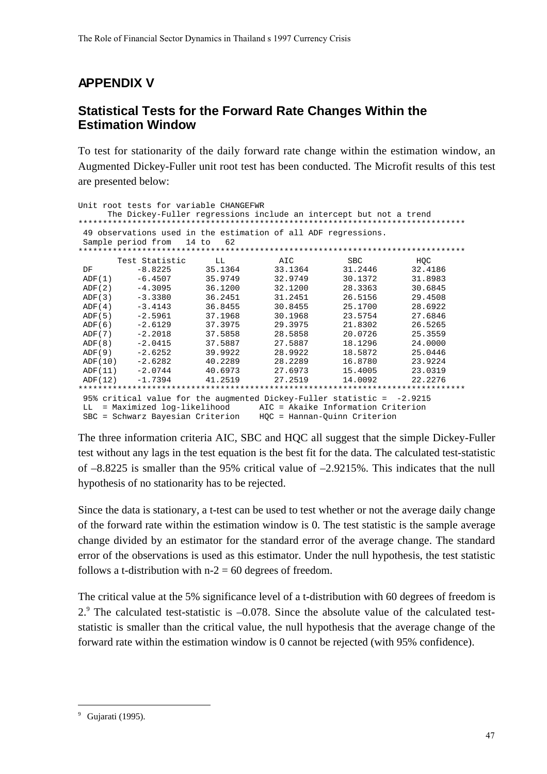## **APPENDIX V**

### **Statistical Tests for the Forward Rate Changes Within the Estimation Window**

To test for stationarity of the daily forward rate change within the estimation window, an Augmented Dickey-Fuller unit root test has been conducted. The Microfit results of this test are presented below:

|          | Unit root tests for variable CHANGEFWR                                   |         |         |            |         |
|----------|--------------------------------------------------------------------------|---------|---------|------------|---------|
|          | The Dickey-Fuller regressions include an intercept but not a trend       |         |         |            |         |
|          |                                                                          |         |         |            |         |
|          | 49 observations used in the estimation of all ADF regressions.           |         |         |            |         |
|          | Sample period from 14 to                                                 | 62      |         |            |         |
|          |                                                                          |         |         |            |         |
|          | Test Statistic                                                           | LL      | AIC     | <b>SBC</b> | HOC     |
| DF       | $-8.8225$                                                                | 35.1364 | 33.1364 | 31.2446    | 32.4186 |
| ADF(1)   | $-6.4507$                                                                | 35.9749 | 32.9749 | 30.1372    | 31.8983 |
| ADF(2)   | -4.3095                                                                  | 36.1200 | 32.1200 | 28.3363    | 30.6845 |
| ADF(3)   | $-3.3380$                                                                | 36.2451 | 31.2451 | 26.5156    | 29.4508 |
| ADF(4)   | $-3.4143$                                                                | 36.8455 | 30.8455 | 25.1700    | 28.6922 |
| ADF(5)   | $-2.5961$                                                                | 37.1968 | 30.1968 | 23.5754    | 27.6846 |
| ADF(6)   | -2.6129                                                                  | 37.3975 | 29.3975 | 21.8302    | 26.5265 |
| ADF(7)   | $-2.2018$                                                                | 37.5858 | 28.5858 | 20.0726    | 25.3559 |
| ADF(8)   | $-2.0415$                                                                | 37.5887 | 27.5887 | 18.1296    | 24,0000 |
| ADF(9)   | $-2.6252$                                                                | 39.9922 | 28.9922 | 18.5872    | 25.0446 |
| ADF (10) | $-2.6282$                                                                | 40.2289 | 28.2289 | 16.8780    | 23.9224 |
|          | ADF(11) -2.0744                                                          | 40.6973 | 27.6973 | 15.4005    | 23.0319 |
| ADF(12)  | $-1.7394$                                                                | 41.2519 | 27.2519 | 14.0092    | 22.2276 |
|          |                                                                          |         |         |            |         |
|          | 95% critical value for the augmented Dickey-Fuller statistic = $-2.9215$ |         |         |            |         |
| LL       | = Maximized log-likelihood AIC = Akaike Information Criterion            |         |         |            |         |
|          | SBC = Schwarz Bayesian Criterion HOC = Hannan-Ouinn Criterion            |         |         |            |         |

The three information criteria AIC, SBC and HQC all suggest that the simple Dickey-Fuller test without any lags in the test equation is the best fit for the data. The calculated test-statistic of –8.8225 is smaller than the 95% critical value of –2.9215%. This indicates that the null hypothesis of no stationarity has to be rejected.

Since the data is stationary, a t-test can be used to test whether or not the average daily change of the forward rate within the estimation window is 0. The test statistic is the sample average change divided by an estimator for the standard error of the average change. The standard error of the observations is used as this estimator. Under the null hypothesis, the test statistic follows a t-distribution with  $n-2 = 60$  degrees of freedom.

The critical value at the 5% significance level of a t-distribution with 60 degrees of freedom is 2.<sup>9</sup> The calculated test-statistic is  $-0.078$ . Since the absolute value of the calculated teststatistic is smaller than the critical value, the null hypothesis that the average change of the forward rate within the estimation window is 0 cannot be rejected (with 95% confidence).

-

<sup>&</sup>lt;sup>9</sup> Gujarati (1995).